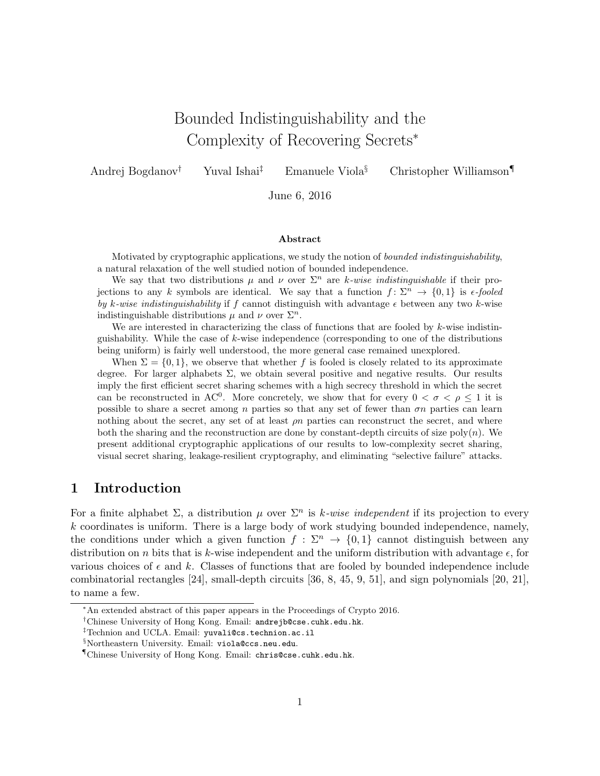# Bounded Indistinguishability and the Complexity of Recovering Secrets<sup>∗</sup>

Andrej Bogdanov<sup>†</sup> Yuval Ishai<sup>‡</sup> Emanuele Viola<sup>§</sup> Christopher Williamson

June 6, 2016

#### Abstract

Motivated by cryptographic applications, we study the notion of bounded indistinguishability, a natural relaxation of the well studied notion of bounded independence.

We say that two distributions  $\mu$  and  $\nu$  over  $\Sigma^n$  are k-wise indistinguishable if their projections to any k symbols are identical. We say that a function  $f: \Sigma^n \to \{0,1\}$  is  $\epsilon$ -fooled by k-wise indistinguishability if f cannot distinguish with advantage  $\epsilon$  between any two k-wise indistinguishable distributions  $\mu$  and  $\nu$  over  $\Sigma^n$ .

We are interested in characterizing the class of functions that are fooled by  $k$ -wise indistinguishability. While the case of k-wise independence (corresponding to one of the distributions being uniform) is fairly well understood, the more general case remained unexplored.

When  $\Sigma = \{0, 1\}$ , we observe that whether f is fooled is closely related to its approximate degree. For larger alphabets  $\Sigma$ , we obtain several positive and negative results. Our results imply the first efficient secret sharing schemes with a high secrecy threshold in which the secret can be reconstructed in AC<sup>0</sup>. More concretely, we show that for every  $0 < \sigma < \rho \leq 1$  it is possible to share a secret among n parties so that any set of fewer than  $\sigma n$  parties can learn nothing about the secret, any set of at least  $\rho n$  parties can reconstruct the secret, and where both the sharing and the reconstruction are done by constant-depth circuits of size  $poly(n)$ . We present additional cryptographic applications of our results to low-complexity secret sharing, visual secret sharing, leakage-resilient cryptography, and eliminating "selective failure" attacks.

## 1 Introduction

For a finite alphabet  $\Sigma$ , a distribution  $\mu$  over  $\Sigma<sup>n</sup>$  is k-wise independent if its projection to every  $k$  coordinates is uniform. There is a large body of work studying bounded independence, namely, the conditions under which a given function  $f : \Sigma^n \to \{0,1\}$  cannot distinguish between any distribution on n bits that is k-wise independent and the uniform distribution with advantage  $\epsilon$ , for various choices of  $\epsilon$  and k. Classes of functions that are fooled by bounded independence include combinatorial rectangles [24], small-depth circuits [36, 8, 45, 9, 51], and sign polynomials [20, 21], to name a few.

<sup>∗</sup>An extended abstract of this paper appears in the Proceedings of Crypto 2016.

<sup>&</sup>lt;sup>†</sup>Chinese University of Hong Kong. Email: andrejb@cse.cuhk.edu.hk.

<sup>‡</sup>Technion and UCLA. Email: yuvali@cs.technion.ac.il

<sup>§</sup>Northeastern University. Email: viola@ccs.neu.edu.

<sup>¶</sup>Chinese University of Hong Kong. Email: chris@cse.cuhk.edu.hk.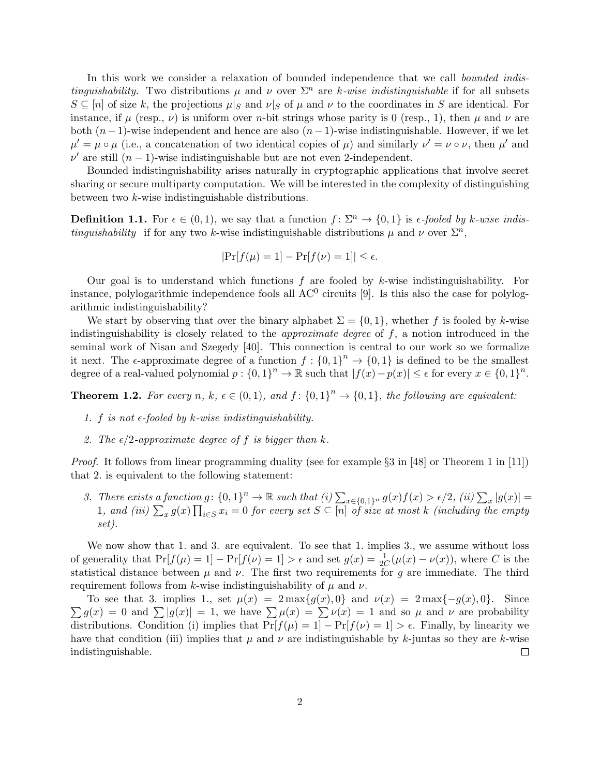In this work we consider a relaxation of bounded independence that we call *bounded indistinguishability.* Two distributions  $\mu$  and  $\nu$  over  $\Sigma^n$  are k-wise indistinguishable if for all subsets  $S \subseteq [n]$  of size k, the projections  $\mu|_S$  and  $\nu|_S$  of  $\mu$  and  $\nu$  to the coordinates in S are identical. For instance, if  $\mu$  (resp.,  $\nu$ ) is uniform over *n*-bit strings whose parity is 0 (resp., 1), then  $\mu$  and  $\nu$  are both  $(n-1)$ -wise independent and hence are also  $(n-1)$ -wise indistinguishable. However, if we let  $\mu' = \mu \circ \mu$  (i.e., a concatenation of two identical copies of  $\mu$ ) and similarly  $\nu' = \nu \circ \nu$ , then  $\mu'$  and  $\nu'$  are still  $(n-1)$ -wise indistinguishable but are not even 2-independent.

Bounded indistinguishability arises naturally in cryptographic applications that involve secret sharing or secure multiparty computation. We will be interested in the complexity of distinguishing between two k-wise indistinguishable distributions.

**Definition 1.1.** For  $\epsilon \in (0,1)$ , we say that a function  $f: \Sigma^n \to \{0,1\}$  is  $\epsilon$ -fooled by k-wise indis*tinguishability* if for any two k-wise indistinguishable distributions  $\mu$  and  $\nu$  over  $\Sigma^n$ ,

$$
|\Pr[f(\mu) = 1] - \Pr[f(\nu) = 1]| \le \epsilon.
$$

Our goal is to understand which functions  $f$  are fooled by  $k$ -wise indistinguishability. For instance, polylogarithmic independence fools all  $AC<sup>0</sup>$  circuits [9]. Is this also the case for polylogarithmic indistinguishability?

We start by observing that over the binary alphabet  $\Sigma = \{0, 1\}$ , whether f is fooled by k-wise indistinguishability is closely related to the *approximate degree* of  $f$ , a notion introduced in the seminal work of Nisan and Szegedy [40]. This connection is central to our work so we formalize it next. The  $\epsilon$ -approximate degree of a function  $f: \{0,1\}^n \to \{0,1\}$  is defined to be the smallest degree of a real-valued polynomial  $p: \{0,1\}^n \to \mathbb{R}$  such that  $|f(x)-p(x)| \leq \epsilon$  for every  $x \in \{0,1\}^n$ .

**Theorem 1.2.** For every n, k,  $\epsilon \in (0,1)$ , and  $f: \{0,1\}^n \to \{0,1\}$ , the following are equivalent:

- 1. f is not  $\epsilon$ -fooled by k-wise indistinguishability.
- 2. The  $\epsilon/2$ -approximate degree of f is bigger than k.

*Proof.* It follows from linear programming duality (see for example  $\S 3$  in [48] or Theorem 1 in [11]) that 2. is equivalent to the following statement:

3. There exists a function  $g: \{0,1\}^n \to \mathbb{R}$  such that  $(i) \sum_{x \in \{0,1\}^n} g(x) f(x) > \epsilon/2$ ,  $(ii) \sum_x |g(x)| =$ 1, and (iii)  $\sum_x g(x) \prod_{i \in S} x_i = 0$  for every set  $S \subseteq [n]$  of size at most k (including the empty set).

We now show that 1. and 3. are equivalent. To see that 1. implies 3., we assume without loss of generality that  $Pr[f(\mu) = 1] - Pr[f(\nu) = 1] > \epsilon$  and set  $g(x) = \frac{1}{2C}(\mu(x) - \nu(x))$ , where C is the statistical distance between  $\mu$  and  $\nu$ . The first two requirements for g are immediate. The third requirement follows from k-wise indistinguishability of  $\mu$  and  $\nu$ .

To see that 3. implies 1., set  $\mu(x) = 2 \max\{g(x), 0\}$  and  $\nu(x) = 2 \max\{-g(x), 0\}$ . Since  $\sum g(x) = 0$  and  $\sum |g(x)| = 1$ , we have  $\sum \mu(x) = \sum \nu(x) = 1$  and so  $\mu$  and  $\nu$  are probability distributions. Condition (i) implies that  $Pr[f(\mu) = 1] - Pr[f(\nu) = 1] > \epsilon$ . Finally, by linearity we have that condition (iii) implies that  $\mu$  and  $\nu$  are indistinguishable by k-juntas so they are k-wise indistinguishable.  $\Box$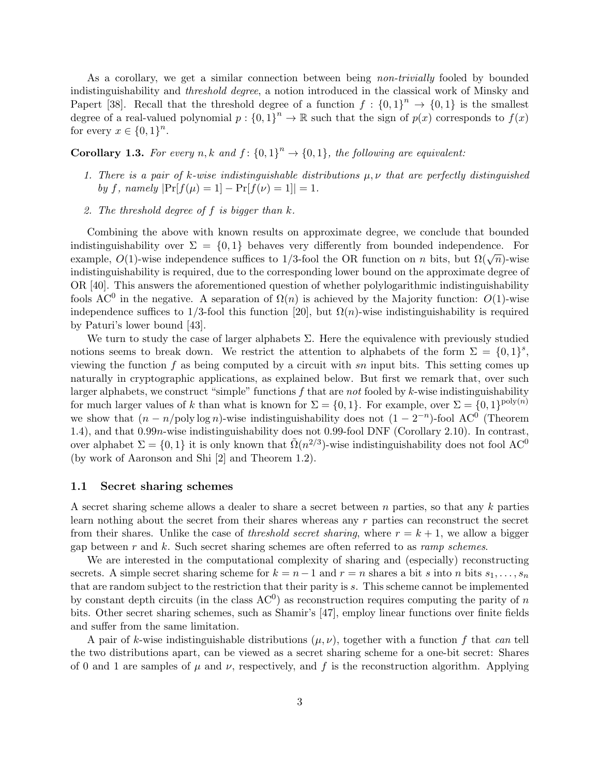As a corollary, we get a similar connection between being *non-trivially* fooled by bounded indistinguishability and threshold degree, a notion introduced in the classical work of Minsky and Papert [38]. Recall that the threshold degree of a function  $f: \{0,1\}^n \to \{0,1\}$  is the smallest degree of a real-valued polynomial  $p: \{0,1\}^n \to \mathbb{R}$  such that the sign of  $p(x)$  corresponds to  $f(x)$ for every  $x \in \{0,1\}^n$ .

## **Corollary 1.3.** For every n, k and  $f: \{0,1\}^n \rightarrow \{0,1\}$ , the following are equivalent:

- 1. There is a pair of k-wise indistinguishable distributions  $\mu, \nu$  that are perfectly distinguished by f, namely  $|\Pr[f(\mu) = 1] - \Pr[f(\nu) = 1]| = 1.$
- 2. The threshold degree of  $f$  is bigger than  $k$ .

Combining the above with known results on approximate degree, we conclude that bounded indistinguishability over  $\Sigma = \{0,1\}$  behaves very differently from bounded independence. For example,  $O(1)$ -wise independence suffices to 1/3-fool the OR function on n bits, but  $\Omega(\sqrt{n})$ -wise indistinguishability is required, due to the corresponding lower bound on the approximate degree of OR [40]. This answers the aforementioned question of whether polylogarithmic indistinguishability fools AC<sup>0</sup> in the negative. A separation of  $\Omega(n)$  is achieved by the Majority function:  $O(1)$ -wise independence suffices to 1/3-fool this function [20], but  $\Omega(n)$ -wise indistinguishability is required by Paturi's lower bound [43].

We turn to study the case of larger alphabets  $\Sigma$ . Here the equivalence with previously studied notions seems to break down. We restrict the attention to alphabets of the form  $\Sigma = \{0,1\}^s$ , viewing the function  $f$  as being computed by a circuit with sn input bits. This setting comes up naturally in cryptographic applications, as explained below. But first we remark that, over such larger alphabets, we construct "simple" functions  $f$  that are not fooled by  $k$ -wise indistinguishability for much larger values of k than what is known for  $\Sigma = \{0,1\}$ . For example, over  $\Sigma = \{0,1\}^{\text{poly}(n)}$ we show that  $(n - n/\text{poly}\log n)$ -wise indistinguishability does not  $(1 - 2^{-n})$ -fool AC<sup>0</sup> (Theorem 1.4), and that 0.99n-wise indistinguishability does not 0.99-fool DNF (Corollary 2.10). In contrast, over alphabet  $\Sigma = \{0, 1\}$  it is only known that  $\tilde{\Omega}(n^{2/3})$ -wise indistinguishability does not fool AC<sup>0</sup> (by work of Aaronson and Shi [2] and Theorem 1.2).

#### 1.1 Secret sharing schemes

A secret sharing scheme allows a dealer to share a secret between n parties, so that any k parties learn nothing about the secret from their shares whereas any r parties can reconstruct the secret from their shares. Unlike the case of *threshold secret sharing*, where  $r = k + 1$ , we allow a bigger gap between  $r$  and  $k$ . Such secret sharing schemes are often referred to as *ramp schemes*.

We are interested in the computational complexity of sharing and (especially) reconstructing secrets. A simple secret sharing scheme for  $k = n-1$  and  $r = n$  shares a bit s into n bits  $s_1, \ldots, s_n$ that are random subject to the restriction that their parity is  $s$ . This scheme cannot be implemented by constant depth circuits (in the class  $AC<sup>0</sup>$ ) as reconstruction requires computing the parity of n bits. Other secret sharing schemes, such as Shamir's [47], employ linear functions over finite fields and suffer from the same limitation.

A pair of k-wise indistinguishable distributions  $(\mu, \nu)$ , together with a function f that can tell the two distributions apart, can be viewed as a secret sharing scheme for a one-bit secret: Shares of 0 and 1 are samples of  $\mu$  and  $\nu$ , respectively, and f is the reconstruction algorithm. Applying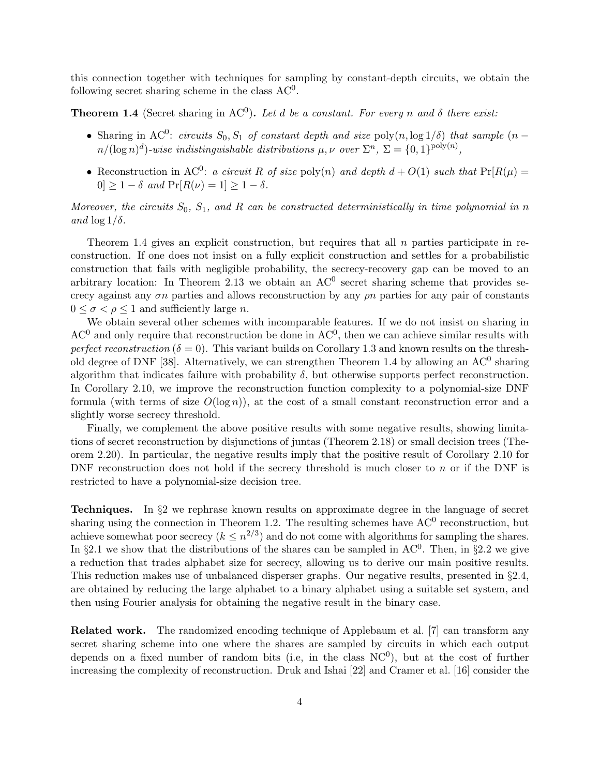this connection together with techniques for sampling by constant-depth circuits, we obtain the following secret sharing scheme in the class  $AC<sup>0</sup>$ .

**Theorem 1.4** (Secret sharing in AC<sup>0</sup>). Let d be a constant. For every n and  $\delta$  there exist:

- Sharing in AC<sup>0</sup>: circuits  $S_0$ ,  $S_1$  of constant depth and size poly $(n, \log 1/\delta)$  that sample  $(n$  $n/(\log n)^d$ )-wise indistinguishable distributions  $\mu, \nu$  over  $\Sigma^n$ ,  $\Sigma = \{0, 1\}^{\text{poly}(n)}$ ,
- Reconstruction in AC<sup>0</sup>: a circuit R of size poly(n) and depth  $d + O(1)$  such that  $Pr[R(\mu)]$  $0 \geq 1 - \delta$  and  $\Pr[R(\nu) = 1] \geq 1 - \delta$ .

Moreover, the circuits  $S_0$ ,  $S_1$ , and R can be constructed deterministically in time polynomial in n and  $\log 1/\delta$ .

Theorem 1.4 gives an explicit construction, but requires that all  $n$  parties participate in reconstruction. If one does not insist on a fully explicit construction and settles for a probabilistic construction that fails with negligible probability, the secrecy-recovery gap can be moved to an arbitrary location: In Theorem 2.13 we obtain an  $AC^0$  secret sharing scheme that provides secrecy against any  $\sigma n$  parties and allows reconstruction by any  $\rho n$  parties for any pair of constants  $0 \leq \sigma < \rho \leq 1$  and sufficiently large *n*.

We obtain several other schemes with incomparable features. If we do not insist on sharing in  $AC<sup>0</sup>$  and only require that reconstruction be done in  $AC<sup>0</sup>$ , then we can achieve similar results with perfect reconstruction ( $\delta = 0$ ). This variant builds on Corollary 1.3 and known results on the threshold degree of DNF [38]. Alternatively, we can strengthen Theorem 1.4 by allowing an  $AC^0$  sharing algorithm that indicates failure with probability  $\delta$ , but otherwise supports perfect reconstruction. In Corollary 2.10, we improve the reconstruction function complexity to a polynomial-size DNF formula (with terms of size  $O(\log n)$ ), at the cost of a small constant reconstruction error and a slightly worse secrecy threshold.

Finally, we complement the above positive results with some negative results, showing limitations of secret reconstruction by disjunctions of juntas (Theorem 2.18) or small decision trees (Theorem 2.20). In particular, the negative results imply that the positive result of Corollary 2.10 for DNF reconstruction does not hold if the secrecy threshold is much closer to  $n$  or if the DNF is restricted to have a polynomial-size decision tree.

Techniques. In §2 we rephrase known results on approximate degree in the language of secret sharing using the connection in Theorem 1.2. The resulting schemes have  $AC^0$  reconstruction, but achieve somewhat poor secrecy ( $k \leq n^{2/3}$ ) and do not come with algorithms for sampling the shares. In §2.1 we show that the distributions of the shares can be sampled in  $AC^0$ . Then, in §2.2 we give a reduction that trades alphabet size for secrecy, allowing us to derive our main positive results. This reduction makes use of unbalanced disperser graphs. Our negative results, presented in §2.4, are obtained by reducing the large alphabet to a binary alphabet using a suitable set system, and then using Fourier analysis for obtaining the negative result in the binary case.

Related work. The randomized encoding technique of Applebaum et al. [7] can transform any secret sharing scheme into one where the shares are sampled by circuits in which each output depends on a fixed number of random bits (i.e, in the class  $NC<sup>0</sup>$ ), but at the cost of further increasing the complexity of reconstruction. Druk and Ishai [22] and Cramer et al. [16] consider the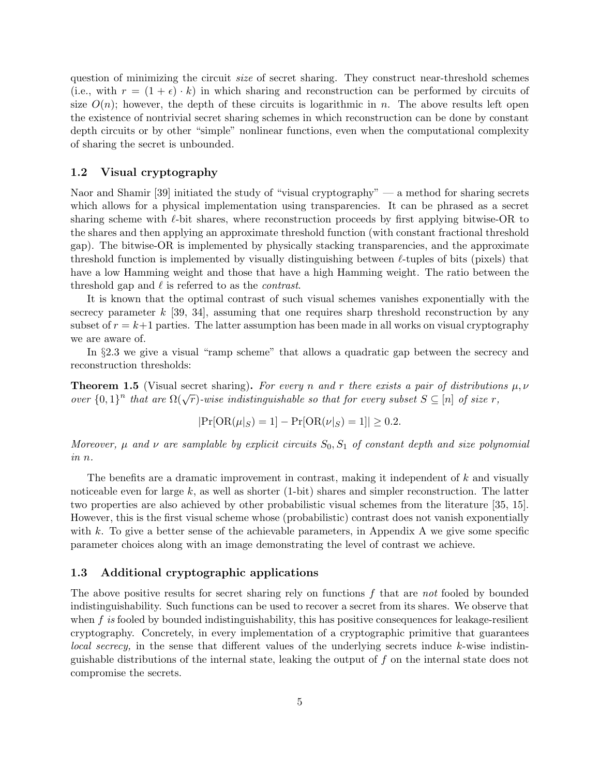question of minimizing the circuit *size* of secret sharing. They construct near-threshold schemes (i.e., with  $r = (1 + \epsilon) \cdot k$ ) in which sharing and reconstruction can be performed by circuits of size  $O(n)$ ; however, the depth of these circuits is logarithmic in n. The above results left open the existence of nontrivial secret sharing schemes in which reconstruction can be done by constant depth circuits or by other "simple" nonlinear functions, even when the computational complexity of sharing the secret is unbounded.

#### 1.2 Visual cryptography

Naor and Shamir [39] initiated the study of "visual cryptography" — a method for sharing secrets which allows for a physical implementation using transparencies. It can be phrased as a secret sharing scheme with  $\ell$ -bit shares, where reconstruction proceeds by first applying bitwise-OR to the shares and then applying an approximate threshold function (with constant fractional threshold gap). The bitwise-OR is implemented by physically stacking transparencies, and the approximate threshold function is implemented by visually distinguishing between  $\ell$ -tuples of bits (pixels) that have a low Hamming weight and those that have a high Hamming weight. The ratio between the threshold gap and  $\ell$  is referred to as the *contrast*.

It is known that the optimal contrast of such visual schemes vanishes exponentially with the secrecy parameter  $k$  [39, 34], assuming that one requires sharp threshold reconstruction by any subset of  $r = k+1$  parties. The latter assumption has been made in all works on visual cryptography we are aware of.

In §2.3 we give a visual "ramp scheme" that allows a quadratic gap between the secrecy and reconstruction thresholds:

**Theorem 1.5** (Visual secret sharing). For every n and r there exists a pair of distributions  $\mu, \nu$ **Theorem 1.5** (*v* is an secret sharing). For every n and r there exists a pair of also noticed<br>over  $\{0,1\}^n$  that are  $\Omega(\sqrt{r})$ -wise indistinguishable so that for every subset  $S \subseteq [n]$  of size r,

$$
|\Pr[OR(\mu|_S) = 1] - \Pr[OR(\nu|_S) = 1]| \ge 0.2.
$$

Moreover,  $\mu$  and  $\nu$  are samplable by explicit circuits  $S_0, S_1$  of constant depth and size polynomial in n.

The benefits are a dramatic improvement in contrast, making it independent of k and visually noticeable even for large  $k$ , as well as shorter (1-bit) shares and simpler reconstruction. The latter two properties are also achieved by other probabilistic visual schemes from the literature [35, 15]. However, this is the first visual scheme whose (probabilistic) contrast does not vanish exponentially with  $k$ . To give a better sense of the achievable parameters, in Appendix A we give some specific parameter choices along with an image demonstrating the level of contrast we achieve.

#### 1.3 Additional cryptographic applications

The above positive results for secret sharing rely on functions  $f$  that are not fooled by bounded indistinguishability. Such functions can be used to recover a secret from its shares. We observe that when  $f$  is fooled by bounded indistinguishability, this has positive consequences for leakage-resilient cryptography. Concretely, in every implementation of a cryptographic primitive that guarantees local secrecy, in the sense that different values of the underlying secrets induce  $k$ -wise indistinguishable distributions of the internal state, leaking the output of f on the internal state does not compromise the secrets.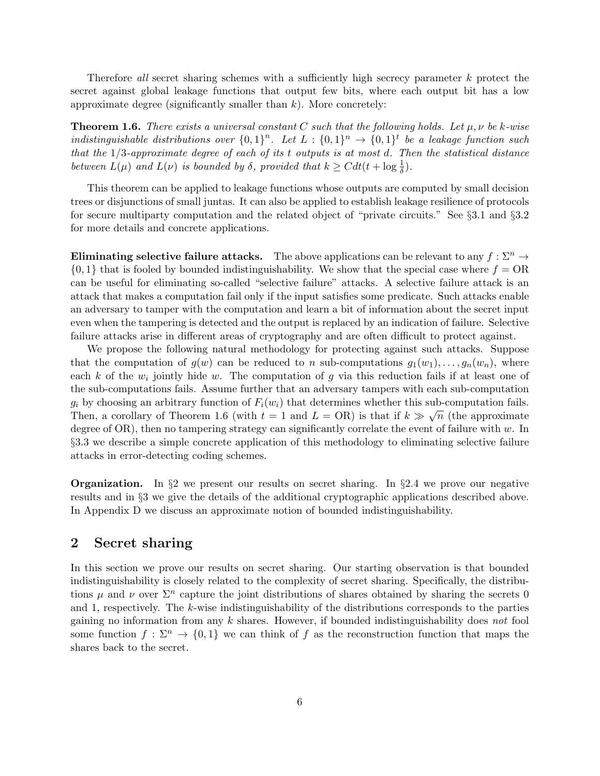Therefore all secret sharing schemes with a sufficiently high secrecy parameter k protect the secret against global leakage functions that output few bits, where each output bit has a low approximate degree (significantly smaller than  $k$ ). More concretely:

**Theorem 1.6.** There exists a universal constant C such that the following holds. Let  $\mu, \nu$  be k-wise indistinguishable distributions over  ${0,1}^n$ . Let  $L: \{0,1\}^n \rightarrow \{0,1\}^t$  be a leakage function such that the  $1/3$ -approximate degree of each of its t outputs is at most d. Then the statistical distance between  $L(\mu)$  and  $L(\nu)$  is bounded by  $\delta$ , provided that  $k \geq C dt (t + \log \frac{1}{\delta})$ .

This theorem can be applied to leakage functions whose outputs are computed by small decision trees or disjunctions of small juntas. It can also be applied to establish leakage resilience of protocols for secure multiparty computation and the related object of "private circuits." See §3.1 and §3.2 for more details and concrete applications.

Eliminating selective failure attacks. The above applications can be relevant to any  $f : \Sigma^n \to$  $\{0,1\}$  that is fooled by bounded indistinguishability. We show that the special case where  $f = \text{OR}$ can be useful for eliminating so-called "selective failure" attacks. A selective failure attack is an attack that makes a computation fail only if the input satisfies some predicate. Such attacks enable an adversary to tamper with the computation and learn a bit of information about the secret input even when the tampering is detected and the output is replaced by an indication of failure. Selective failure attacks arise in different areas of cryptography and are often difficult to protect against.

We propose the following natural methodology for protecting against such attacks. Suppose that the computation of  $g(w)$  can be reduced to n sub-computations  $g_1(w_1), \ldots, g_n(w_n)$ , where each k of the  $w_i$  jointly hide w. The computation of g via this reduction fails if at least one of the sub-computations fails. Assume further that an adversary tampers with each sub-computation  $g_i$  by choosing an arbitrary function of  $F_i(w_i)$  that determines whether this sub-computation fails. Then, a corollary of Theorem 1.6 (with  $t = 1$  and  $L = \text{OR}$ ) is that if  $k \gg \sqrt{n}$  (the approximate degree of  $OR$ ), then no tampering strategy can significantly correlate the event of failure with w. In §3.3 we describe a simple concrete application of this methodology to eliminating selective failure attacks in error-detecting coding schemes.

**Organization.** In  $\S2$  we present our results on secret sharing. In  $\S2.4$  we prove our negative results and in §3 we give the details of the additional cryptographic applications described above. In Appendix D we discuss an approximate notion of bounded indistinguishability.

### 2 Secret sharing

In this section we prove our results on secret sharing. Our starting observation is that bounded indistinguishability is closely related to the complexity of secret sharing. Specifically, the distributions  $\mu$  and  $\nu$  over  $\Sigma^n$  capture the joint distributions of shares obtained by sharing the secrets 0 and 1, respectively. The k-wise indistinguishability of the distributions corresponds to the parties gaining no information from any  $k$  shares. However, if bounded indistinguishability does not fool some function  $f: \Sigma^n \to \{0,1\}$  we can think of f as the reconstruction function that maps the shares back to the secret.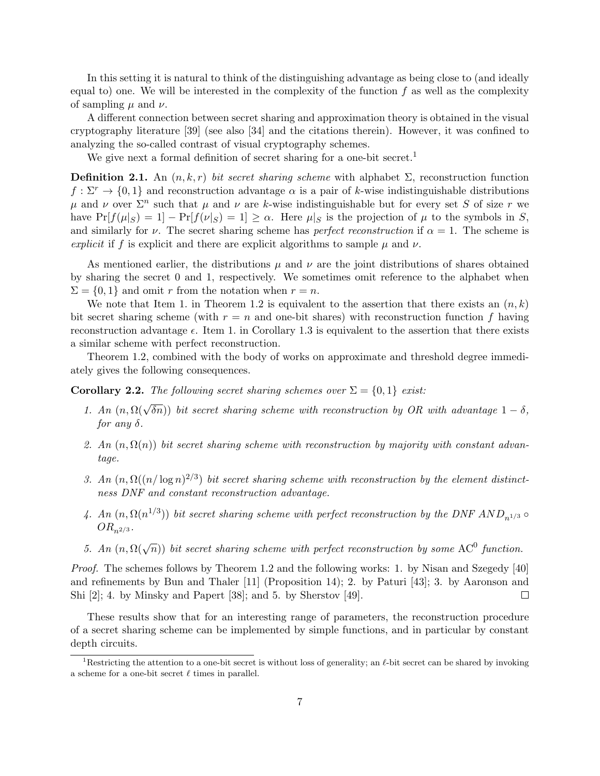In this setting it is natural to think of the distinguishing advantage as being close to (and ideally equal to) one. We will be interested in the complexity of the function  $f$  as well as the complexity of sampling  $\mu$  and  $\nu$ .

A different connection between secret sharing and approximation theory is obtained in the visual cryptography literature [39] (see also [34] and the citations therein). However, it was confined to analyzing the so-called contrast of visual cryptography schemes.

We give next a formal definition of secret sharing for a one-bit secret.<sup>1</sup>

**Definition 2.1.** An  $(n, k, r)$  bit secret sharing scheme with alphabet  $\Sigma$ , reconstruction function  $f: \Sigma^r \to \{0,1\}$  and reconstruction advantage  $\alpha$  is a pair of k-wise indistinguishable distributions μ and ν over  $\Sigma^n$  such that μ and ν are k-wise indistinguishable but for every set S of size r we have  $Pr[f(\mu|S) = 1] - Pr[f(\nu|S) = 1] \ge \alpha$ . Here  $\mu|S$  is the projection of  $\mu$  to the symbols in S, and similarly for  $\nu$ . The secret sharing scheme has *perfect reconstruction* if  $\alpha = 1$ . The scheme is explicit if f is explicit and there are explicit algorithms to sample  $\mu$  and  $\nu$ .

As mentioned earlier, the distributions  $\mu$  and  $\nu$  are the joint distributions of shares obtained by sharing the secret 0 and 1, respectively. We sometimes omit reference to the alphabet when  $\Sigma = \{0, 1\}$  and omit r from the notation when  $r = n$ .

We note that Item 1. in Theorem 1.2 is equivalent to the assertion that there exists an  $(n, k)$ bit secret sharing scheme (with  $r = n$  and one-bit shares) with reconstruction function f having reconstruction advantage  $\epsilon$ . Item 1. in Corollary 1.3 is equivalent to the assertion that there exists a similar scheme with perfect reconstruction.

Theorem 1.2, combined with the body of works on approximate and threshold degree immediately gives the following consequences.

**Corollary 2.2.** The following secret sharing schemes over  $\Sigma = \{0, 1\}$  exist:

- 1. An  $(n, \Omega(\sqrt{\delta n}))$  bit secret sharing scheme with reconstruction by OR with advantage  $1 \delta$ , for any  $\delta$ .
- 2. An  $(n, \Omega(n))$  bit secret sharing scheme with reconstruction by majority with constant advantage.
- 3. An  $(n, \Omega((n/\log n)^{2/3})$  bit secret sharing scheme with reconstruction by the element distinctness DNF and constant reconstruction advantage.
- 4. An  $(n, \Omega(n^{1/3}))$  bit secret sharing scheme with perfect reconstruction by the DNF  $AND_{n^{1/3}} \circ$  $OR_{n^{2/3}}$ .
- 5. An  $(n, \Omega(\sqrt{n}))$  bit secret sharing scheme with perfect reconstruction by some AC<sup>0</sup> function.

Proof. The schemes follows by Theorem 1.2 and the following works: 1. by Nisan and Szegedy [40] and refinements by Bun and Thaler [11] (Proposition 14); 2. by Paturi [43]; 3. by Aaronson and Shi [2]; 4. by Minsky and Papert [38]; and 5. by Sherstov [49].  $\Box$ 

These results show that for an interesting range of parameters, the reconstruction procedure of a secret sharing scheme can be implemented by simple functions, and in particular by constant depth circuits.

<sup>&</sup>lt;sup>1</sup>Restricting the attention to a one-bit secret is without loss of generality; an  $\ell$ -bit secret can be shared by invoking a scheme for a one-bit secret  $\ell$  times in parallel.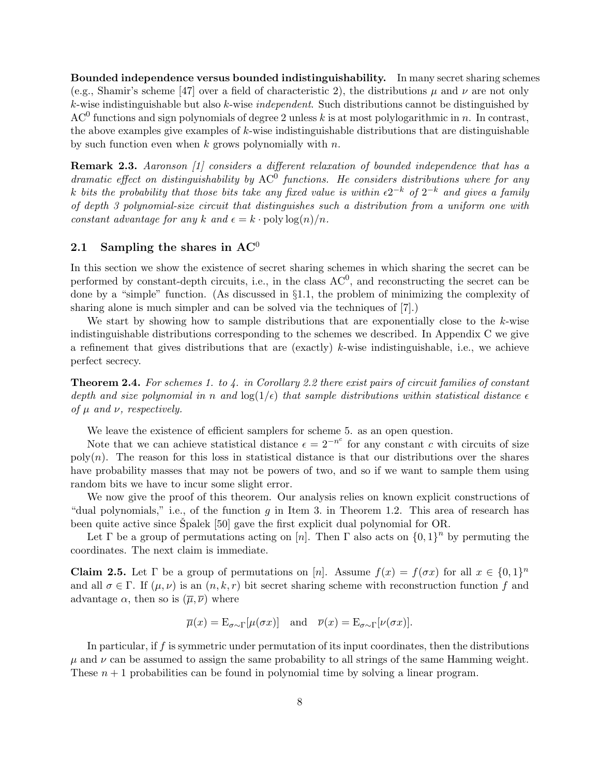Bounded independence versus bounded indistinguishability. In many secret sharing schemes (e.g., Shamir's scheme [47] over a field of characteristic 2), the distributions  $\mu$  and  $\nu$  are not only  $k$ -wise indistinguishable but also  $k$ -wise *independent*. Such distributions cannot be distinguished by AC<sup>0</sup> functions and sign polynomials of degree 2 unless k is at most polylogarithmic in n. In contrast, the above examples give examples of  $k$ -wise indistinguishable distributions that are distinguishable by such function even when  $k$  grows polynomially with  $n$ .

Remark 2.3. Aaronson [1] considers a different relaxation of bounded independence that has a dramatic effect on distinguishability by  $AC<sup>0</sup>$  functions. He considers distributions where for any k bits the probability that those bits take any fixed value is within  $\epsilon 2^{-k}$  of  $2^{-k}$  and gives a family of depth 3 polynomial-size circuit that distinguishes such a distribution from a uniform one with constant advantage for any k and  $\epsilon = k \cdot \text{poly}\log(n)/n$ .

## 2.1 Sampling the shares in  $AC^0$

In this section we show the existence of secret sharing schemes in which sharing the secret can be performed by constant-depth circuits, i.e., in the class  $AC^0$ , and reconstructing the secret can be done by a "simple" function. (As discussed in  $\S1.1$ , the problem of minimizing the complexity of sharing alone is much simpler and can be solved via the techniques of [7].)

We start by showing how to sample distributions that are exponentially close to the  $k$ -wise indistinguishable distributions corresponding to the schemes we described. In Appendix C we give a refinement that gives distributions that are (exactly)  $k$ -wise indistinguishable, i.e., we achieve perfect secrecy.

**Theorem 2.4.** For schemes 1. to  $\lambda$ . in Corollary 2.2 there exist pairs of circuit families of constant depth and size polynomial in n and  $\log(1/\epsilon)$  that sample distributions within statistical distance  $\epsilon$ of  $\mu$  and  $\nu$ , respectively.

We leave the existence of efficient samplers for scheme 5. as an open question.

Note that we can achieve statistical distance  $\epsilon = 2^{-n^c}$  for any constant c with circuits of size  $poly(n)$ . The reason for this loss in statistical distance is that our distributions over the shares have probability masses that may not be powers of two, and so if we want to sample them using random bits we have to incur some slight error.

We now give the proof of this theorem. Our analysis relies on known explicit constructions of "dual polynomials," i.e., of the function g in Item 3. in Theorem 1.2. This area of research has been quite active since  $\text{Spalek}$  [50] gave the first explicit dual polynomial for OR.

Let  $\Gamma$  be a group of permutations acting on [n]. Then  $\Gamma$  also acts on  $\{0,1\}^n$  by permuting the coordinates. The next claim is immediate.

**Claim 2.5.** Let  $\Gamma$  be a group of permutations on [n]. Assume  $f(x) = f(\sigma x)$  for all  $x \in \{0,1\}^n$ and all  $\sigma \in \Gamma$ . If  $(\mu, \nu)$  is an  $(n, k, r)$  bit secret sharing scheme with reconstruction function f and advantage  $\alpha$ , then so is  $(\overline{\mu}, \overline{\nu})$  where

$$
\overline{\mu}(x) = \mathcal{E}_{\sigma \sim \Gamma}[\mu(\sigma x)]
$$
 and  $\overline{\nu}(x) = \mathcal{E}_{\sigma \sim \Gamma}[\nu(\sigma x)].$ 

In particular, if f is symmetric under permutation of its input coordinates, then the distributions  $\mu$  and  $\nu$  can be assumed to assign the same probability to all strings of the same Hamming weight. These  $n + 1$  probabilities can be found in polynomial time by solving a linear program.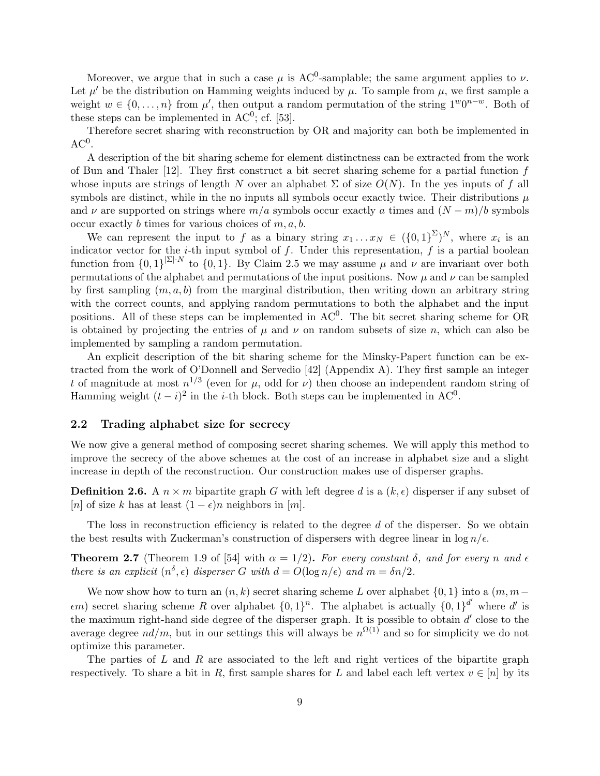Moreover, we argue that in such a case  $\mu$  is AC<sup>0</sup>-samplable; the same argument applies to  $\nu$ . Let  $\mu'$  be the distribution on Hamming weights induced by  $\mu$ . To sample from  $\mu$ , we first sample a weight  $w \in \{0, \ldots, n\}$  from  $\mu'$ , then output a random permutation of the string  $1^w0^{n-w}$ . Both of these steps can be implemented in  $AC^0$ ; cf. [53].

Therefore secret sharing with reconstruction by OR and majority can both be implemented in  $AC<sup>0</sup>$ .

A description of the bit sharing scheme for element distinctness can be extracted from the work of Bun and Thaler  $[12]$ . They first construct a bit secret sharing scheme for a partial function f whose inputs are strings of length N over an alphabet  $\Sigma$  of size  $O(N)$ . In the yes inputs of f all symbols are distinct, while in the no inputs all symbols occur exactly twice. Their distributions  $\mu$ and  $\nu$  are supported on strings where  $m/a$  symbols occur exactly a times and  $(N-m)/b$  symbols occur exactly b times for various choices of  $m, a, b$ .

We can represent the input to f as a binary string  $x_1 \ldots x_N \in (\{0,1\}^{\Sigma})^N$ , where  $x_i$  is an indicator vector for the *i*-th input symbol of f. Under this representation, f is a partial boolean function from  $\{0,1\}^{|\Sigma| \cdot N}$  to  $\{0,1\}$ . By Claim 2.5 we may assume  $\mu$  and  $\nu$  are invariant over both permutations of the alphabet and permutations of the input positions. Now  $\mu$  and  $\nu$  can be sampled by first sampling  $(m, a, b)$  from the marginal distribution, then writing down an arbitrary string with the correct counts, and applying random permutations to both the alphabet and the input positions. All of these steps can be implemented in  $AC<sup>0</sup>$ . The bit secret sharing scheme for OR is obtained by projecting the entries of  $\mu$  and  $\nu$  on random subsets of size n, which can also be implemented by sampling a random permutation.

An explicit description of the bit sharing scheme for the Minsky-Papert function can be extracted from the work of O'Donnell and Servedio [42] (Appendix A). They first sample an integer t of magnitude at most  $n^{1/3}$  (even for  $\mu$ , odd for  $\nu$ ) then choose an independent random string of Hamming weight  $(t - i)^2$  in the *i*-th block. Both steps can be implemented in AC<sup>0</sup>.

#### 2.2 Trading alphabet size for secrecy

We now give a general method of composing secret sharing schemes. We will apply this method to improve the secrecy of the above schemes at the cost of an increase in alphabet size and a slight increase in depth of the reconstruction. Our construction makes use of disperser graphs.

**Definition 2.6.** A  $n \times m$  bipartite graph G with left degree d is a  $(k, \epsilon)$  disperser if any subset of [n] of size k has at least  $(1 - \epsilon)n$  neighbors in [m].

The loss in reconstruction efficiency is related to the degree d of the disperser. So we obtain the best results with Zuckerman's construction of dispersers with degree linear in  $\log n/\epsilon$ .

**Theorem 2.7** (Theorem 1.9 of [54] with  $\alpha = 1/2$ ). For every constant  $\delta$ , and for every n and  $\epsilon$ there is an explicit  $(n^{\delta}, \epsilon)$  disperser G with  $d = O(\log n/\epsilon)$  and  $m = \delta n/2$ .

We now show how to turn an  $(n, k)$  secret sharing scheme L over alphabet  $\{0, 1\}$  into a  $(m, m-1)$  $\epsilon$ m) secret sharing scheme R over alphabet  $\{0,1\}^n$ . The alphabet is actually  $\{0,1\}^{d'}$  where d' is the maximum right-hand side degree of the disperser graph. It is possible to obtain  $d'$  close to the average degree  $nd/m$ , but in our settings this will always be  $n^{\Omega(1)}$  and so for simplicity we do not optimize this parameter.

The parties of  $L$  and  $R$  are associated to the left and right vertices of the bipartite graph respectively. To share a bit in R, first sample shares for L and label each left vertex  $v \in [n]$  by its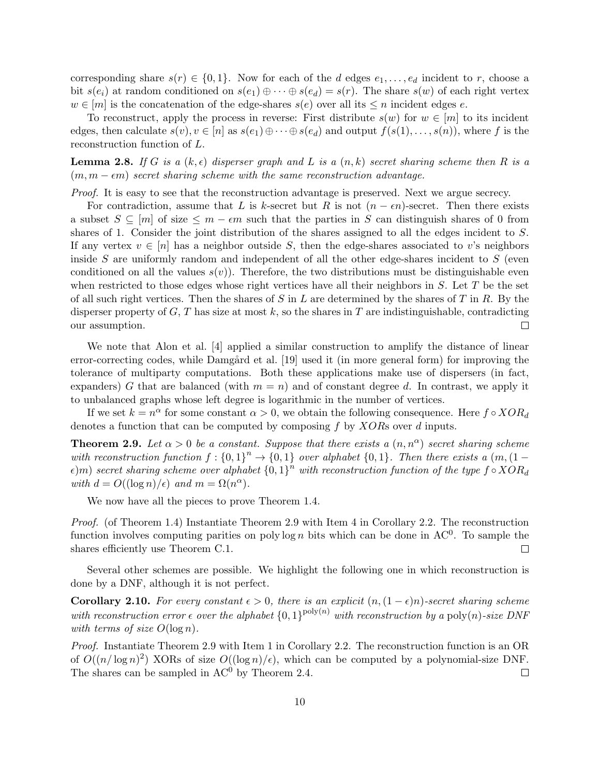corresponding share  $s(r) \in \{0,1\}$ . Now for each of the d edges  $e_1, \ldots, e_d$  incident to r, choose a bit  $s(e_i)$  at random conditioned on  $s(e_1) \oplus \cdots \oplus s(e_d) = s(r)$ . The share  $s(w)$  of each right vertex  $w \in [m]$  is the concatenation of the edge-shares  $s(e)$  over all its  $\leq n$  incident edges e.

To reconstruct, apply the process in reverse: First distribute  $s(w)$  for  $w \in [m]$  to its incident edges, then calculate  $s(v), v \in [n]$  as  $s(e_1) \oplus \cdots \oplus s(e_d)$  and output  $f(s(1), \ldots, s(n))$ , where f is the reconstruction function of L.

**Lemma 2.8.** If G is a  $(k, \epsilon)$  disperser graph and L is a  $(n, k)$  secret sharing scheme then R is a  $(m, m - \epsilon m)$  secret sharing scheme with the same reconstruction advantage.

Proof. It is easy to see that the reconstruction advantage is preserved. Next we argue secrecy.

For contradiction, assume that L is k-secret but R is not  $(n - \epsilon n)$ -secret. Then there exists a subset  $S \subseteq [m]$  of size  $\leq m - \epsilon m$  such that the parties in S can distinguish shares of 0 from shares of 1. Consider the joint distribution of the shares assigned to all the edges incident to S. If any vertex  $v \in [n]$  has a neighbor outside S, then the edge-shares associated to v's neighbors inside  $S$  are uniformly random and independent of all the other edge-shares incident to  $S$  (even conditioned on all the values  $s(v)$ ). Therefore, the two distributions must be distinguishable even when restricted to those edges whose right vertices have all their neighbors in  $S$ . Let  $T$  be the set of all such right vertices. Then the shares of S in L are determined by the shares of T in R. By the disperser property of  $G, T$  has size at most k, so the shares in T are indistinguishable, contradicting our assumption.  $\Box$ 

We note that Alon et al. [4] applied a similar construction to amplify the distance of linear error-correcting codes, while Damgård et al. [19] used it (in more general form) for improving the tolerance of multiparty computations. Both these applications make use of dispersers (in fact, expanders) G that are balanced (with  $m = n$ ) and of constant degree d. In contrast, we apply it to unbalanced graphs whose left degree is logarithmic in the number of vertices.

If we set  $k = n^{\alpha}$  for some constant  $\alpha > 0$ , we obtain the following consequence. Here  $f \circ XOR_d$ denotes a function that can be computed by composing  $f$  by  $XORs$  over  $d$  inputs.

**Theorem 2.9.** Let  $\alpha > 0$  be a constant. Suppose that there exists a  $(n, n^{\alpha})$  secret sharing scheme with reconstruction function  $f: \{0,1\}^n \to \{0,1\}$  over alphabet  $\{0,1\}$ . Then there exists a  $(m,(1-d))$  $\epsilon) m)$  secret sharing scheme over alphabet  $\{0,1\}^n$  with reconstruction function of the type  $f \circ XOR_d$ with  $d = O((\log n)/\epsilon)$  and  $m = \Omega(n^{\alpha})$ .

We now have all the pieces to prove Theorem 1.4.

Proof. (of Theorem 1.4) Instantiate Theorem 2.9 with Item 4 in Corollary 2.2. The reconstruction function involves computing parities on polylog n bits which can be done in  $AC^0$ . To sample the shares efficiently use Theorem C.1.  $\Box$ 

Several other schemes are possible. We highlight the following one in which reconstruction is done by a DNF, although it is not perfect.

Corollary 2.10. For every constant  $\epsilon > 0$ , there is an explicit  $(n,(1-\epsilon)n)$ -secret sharing scheme with reconstruction error  $\epsilon$  over the alphabet  $\{0,1\}^{\text{poly}(n)}$  with reconstruction by a poly $(n)$ -size DNF with terms of size  $O(\log n)$ .

Proof. Instantiate Theorem 2.9 with Item 1 in Corollary 2.2. The reconstruction function is an OR of  $O((n/\log n)^2)$  XORs of size  $O((\log n)/\epsilon)$ , which can be computed by a polynomial-size DNF. The shares can be sampled in  $AC<sup>0</sup>$  by Theorem 2.4.  $\Box$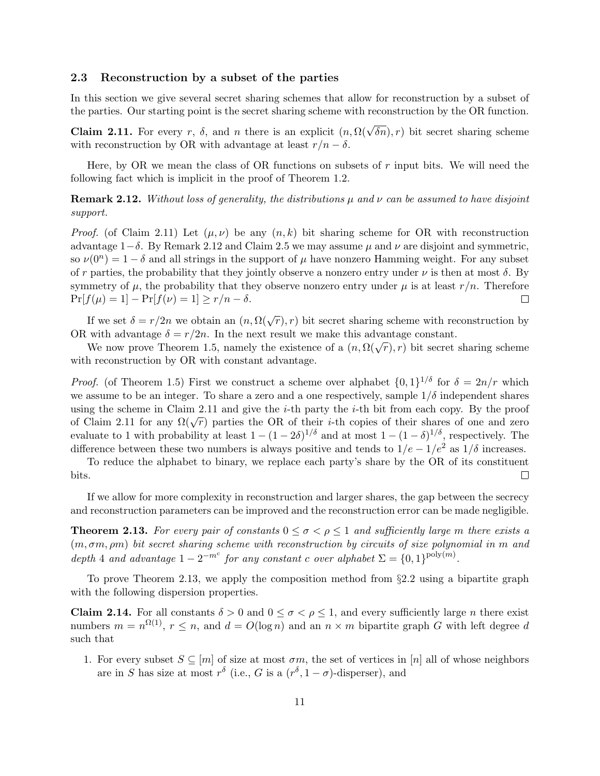#### 2.3 Reconstruction by a subset of the parties

In this section we give several secret sharing schemes that allow for reconstruction by a subset of the parties. Our starting point is the secret sharing scheme with reconstruction by the OR function.

**Claim 2.11.** For every r,  $\delta$ , and n there is an explicit  $(n, \Omega(\sqrt{\delta n}), r)$  bit secret sharing scheme with reconstruction by OR with advantage at least  $r/n - \delta$ .

Here, by OR we mean the class of OR functions on subsets of  $r$  input bits. We will need the following fact which is implicit in the proof of Theorem 1.2.

**Remark 2.12.** Without loss of generality, the distributions  $\mu$  and  $\nu$  can be assumed to have disjoint support.

*Proof.* (of Claim 2.11) Let  $(\mu, \nu)$  be any  $(n, k)$  bit sharing scheme for OR with reconstruction advantage  $1-\delta$ . By Remark 2.12 and Claim 2.5 we may assume  $\mu$  and  $\nu$  are disjoint and symmetric, so  $\nu(0^n) = 1 - \delta$  and all strings in the support of  $\mu$  have nonzero Hamming weight. For any subset of r parties, the probability that they jointly observe a nonzero entry under  $\nu$  is then at most  $\delta$ . By symmetry of  $\mu$ , the probability that they observe nonzero entry under  $\mu$  is at least  $r/n$ . Therefore  $Pr[f(\mu) = 1] - Pr[f(\nu) = 1] \ge r/n - \delta.$  $\Box$ 

If we set  $\delta = r/2n$  we obtain an  $(n, \Omega(\sqrt{r}), r)$  bit secret sharing scheme with reconstruction by OR with advantage  $\delta = r/2n$ . In the next result we make this advantage constant.

With advantage  $\theta = r/2n$ . In the next result we make this advantage constant.<br>We now prove Theorem 1.5, namely the existence of a  $(n, \Omega(\sqrt{r}), r)$  bit secret sharing scheme with reconstruction by OR with constant advantage.

*Proof.* (of Theorem 1.5) First we construct a scheme over alphabet  $\{0,1\}^{1/\delta}$  for  $\delta = 2n/r$  which we assume to be an integer. To share a zero and a one respectively, sample  $1/\delta$  independent shares using the scheme in Claim 2.11 and give the  $i$ -th party the  $i$ -th bit from each copy. By the proof of Claim 2.11 for any  $\Omega(\sqrt{r})$  parties the OR of their *i*-th copies of their shares of one and zero evaluate to 1 with probability at least  $1 - (1 - 2\delta)^{1/\delta}$  and at most  $1 - (1 - \delta)^{1/\delta}$ , respectively. The difference between these two numbers is always positive and tends to  $1/e - 1/e^2$  as  $1/\delta$  increases.

To reduce the alphabet to binary, we replace each party's share by the OR of its constituent  $\Box$ bits.

If we allow for more complexity in reconstruction and larger shares, the gap between the secrecy and reconstruction parameters can be improved and the reconstruction error can be made negligible.

**Theorem 2.13.** For every pair of constants  $0 \leq \sigma < \rho \leq 1$  and sufficiently large m there exists a  $(m, \sigma m, \rho m)$  bit secret sharing scheme with reconstruction by circuits of size polynomial in m and depth 4 and advantage  $1 - 2^{-m^c}$  for any constant c over alphabet  $\Sigma = \{0, 1\}^{\text{poly}(m)}$ .

To prove Theorem 2.13, we apply the composition method from §2.2 using a bipartite graph with the following dispersion properties.

Claim 2.14. For all constants  $\delta > 0$  and  $0 \leq \sigma < \rho \leq 1$ , and every sufficiently large *n* there exist numbers  $m = n^{\Omega(1)}$ ,  $r \leq n$ , and  $d = O(\log n)$  and an  $n \times m$  bipartite graph G with left degree d such that

1. For every subset  $S \subseteq [m]$  of size at most  $\sigma m$ , the set of vertices in [n] all of whose neighbors are in S has size at most  $r^{\delta}$  (i.e., G is a  $(r^{\delta}, 1-\sigma)$ -disperser), and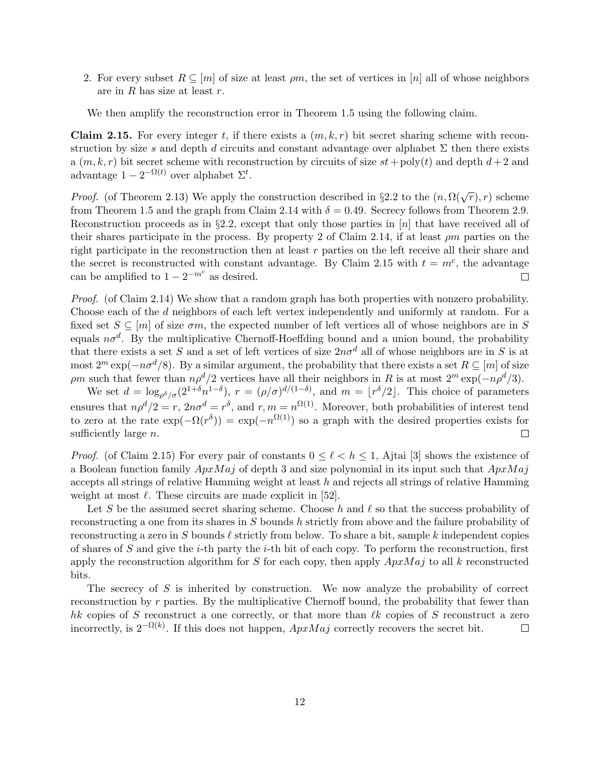2. For every subset  $R \subseteq [m]$  of size at least  $\rho m$ , the set of vertices in [n] all of whose neighbors are in  $R$  has size at least  $r$ .

We then amplify the reconstruction error in Theorem 1.5 using the following claim.

**Claim 2.15.** For every integer t, if there exists a  $(m, k, r)$  bit secret sharing scheme with reconstruction by size s and depth d circuits and constant advantage over alphabet  $\Sigma$  then there exists a  $(m, k, r)$  bit secret scheme with reconstruction by circuits of size  $st + \text{poly}(t)$  and depth  $d+2$  and advantage  $1 - 2^{-\Omega(t)}$  over alphabet  $\Sigma^t$ .

*Proof.* (of Theorem 2.13) We apply the construction described in §2.2 to the  $(n, \Omega(\sqrt{r}), r)$  scheme from Theorem 1.5 and the graph from Claim 2.14 with  $\delta = 0.49$ . Secrecy follows from Theorem 2.9. Reconstruction proceeds as in §2.2, except that only those parties in  $[n]$  that have received all of their shares participate in the process. By property 2 of Claim 2.14, if at least  $\rho m$  parties on the right participate in the reconstruction then at least  $r$  parties on the left receive all their share and the secret is reconstructed with constant advantage. By Claim 2.15 with  $t = m^c$ , the advantage can be amplified to  $1 - 2^{-m^c}$  as desired.  $\Box$ 

Proof. (of Claim 2.14) We show that a random graph has both properties with nonzero probability. Choose each of the d neighbors of each left vertex independently and uniformly at random. For a fixed set  $S \subseteq [m]$  of size  $\sigma m$ , the expected number of left vertices all of whose neighbors are in S equals  $n\sigma^d$ . By the multiplicative Chernoff-Hoeffding bound and a union bound, the probability that there exists a set S and a set of left vertices of size  $2n\sigma^d$  all of whose neighbors are in S is at most  $2^m \exp(-n\sigma^d/8)$ . By a similar argument, the probability that there exists a set  $R \subseteq [m]$  of size ρm such that fewer than  $n\rho^d/2$  vertices have all their neighbors in R is at most  $2^m \exp(-n\rho^d/3)$ .

We set  $d = \log_{\rho^{\delta}/\sigma}(2^{1+\delta}n^{1-\delta}), r = (\rho/\sigma)^{d/(1-\delta)},$  and  $m = \lfloor r^{\delta}/2 \rfloor$ . This choice of parameters ensures that  $n\rho^d/2 = r$ ,  $2n\sigma^d = r^{\delta}$ , and  $r, m = n^{\Omega(1)}$ . Moreover, both probabilities of interest tend to zero at the rate  $\exp(-\Omega(r^{\delta})) = \exp(-n^{\Omega(1)})$  so a graph with the desired properties exists for sufficiently large  $n$ .  $\Box$ 

*Proof.* (of Claim 2.15) For every pair of constants  $0 \leq \ell \leq h \leq 1$ , Ajtai [3] shows the existence of a Boolean function family  $ApxMaj$  of depth 3 and size polynomial in its input such that  $ApxMaj$ accepts all strings of relative Hamming weight at least  $h$  and rejects all strings of relative Hamming weight at most  $\ell$ . These circuits are made explicit in [52].

Let S be the assumed secret sharing scheme. Choose h and  $\ell$  so that the success probability of reconstructing a one from its shares in S bounds h strictly from above and the failure probability of reconstructing a zero in S bounds  $\ell$  strictly from below. To share a bit, sample k independent copies of shares of  $S$  and give the *i*-th party the *i*-th bit of each copy. To perform the reconstruction, first apply the reconstruction algorithm for S for each copy, then apply  $ApxMaj$  to all k reconstructed bits.

The secrecy of  $S$  is inherited by construction. We now analyze the probability of correct reconstruction by r parties. By the multiplicative Chernoff bound, the probability that fewer than hk copies of S reconstruct a one correctly, or that more than  $\ell k$  copies of S reconstruct a zero incorrectly, is  $2^{-\Omega(k)}$ . If this does not happen,  $ApxMaj$  correctly recovers the secret bit.  $\Box$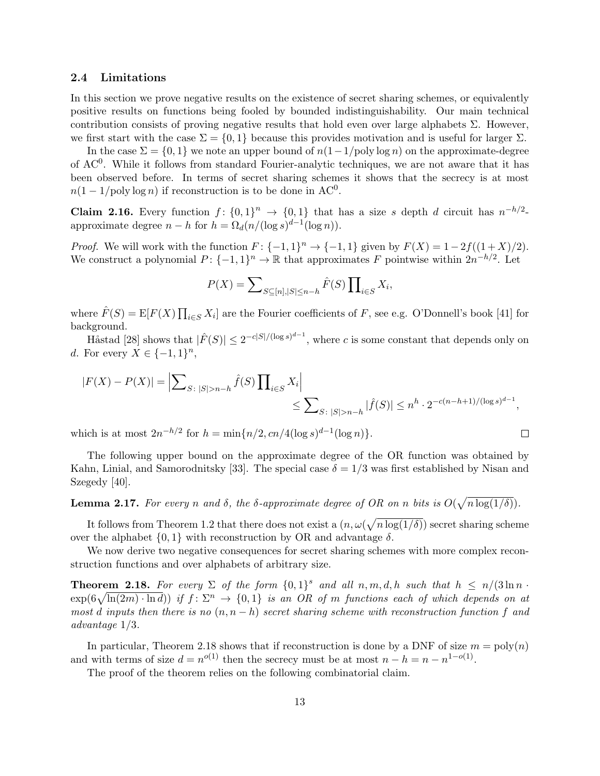#### 2.4 Limitations

In this section we prove negative results on the existence of secret sharing schemes, or equivalently positive results on functions being fooled by bounded indistinguishability. Our main technical contribution consists of proving negative results that hold even over large alphabets  $\Sigma$ . However, we first start with the case  $\Sigma = \{0, 1\}$  because this provides motivation and is useful for larger  $\Sigma$ .

In the case  $\Sigma = \{0, 1\}$  we note an upper bound of  $n(1-1/\text{poly}\log n)$  on the approximate-degree of  $AC<sup>0</sup>$ . While it follows from standard Fourier-analytic techniques, we are not aware that it has been observed before. In terms of secret sharing schemes it shows that the secrecy is at most  $n(1-1/\text{poly}\log n)$  if reconstruction is to be done in AC<sup>0</sup>.

**Claim 2.16.** Every function  $f: \{0,1\}^n \to \{0,1\}$  that has a size s depth d circuit has  $n^{-h/2}$ . approximate degree  $n - h$  for  $h = \Omega_d(n/(\log s)^{d-1}(\log n)).$ 

*Proof.* We will work with the function  $F: \{-1,1\}^n \to \{-1,1\}$  given by  $F(X) = 1-2f((1+X)/2)$ . We construct a polynomial  $P: \{-1,1\}^n \to \mathbb{R}$  that approximates F pointwise within  $2n^{-h/2}$ . Let

$$
P(X) = \sum_{S \subseteq [n], |S| \le n-h} \hat{F}(S) \prod_{i \in S} X_i,
$$

where  $\hat{F}(S) = \mathbb{E}[F(X) \prod_{i \in S} X_i]$  are the Fourier coefficients of F, see e.g. O'Donnell's book [41] for background.

Håstad [28] shows that  $|\hat{F}(S)| \leq 2^{-c|S|/(\log s)^{d-1}}$ , where c is some constant that depends only on d. For every  $X \in \{-1,1\}^n$ ,

$$
|F(X) - P(X)| = \left| \sum_{S: |S| > n - h} \hat{f}(S) \prod_{i \in S} X_i \right| \le \sum_{S: |S| > n - h} |\hat{f}(S)| \le n^h \cdot 2^{-c(n - h + 1)/(\log s)^{d - 1}},
$$

 $\Box$ 

which is at most  $2n^{-h/2}$  for  $h = \min\{n/2, cn/4(\log s)^{d-1}(\log n)\}.$ 

The following upper bound on the approximate degree of the OR function was obtained by Kahn, Linial, and Samorodnitsky [33]. The special case  $\delta = 1/3$  was first established by Nisan and Szegedy [40].

**Lemma 2.17.** For every n and  $\delta$ , the  $\delta$ -approximate degree of OR on n bits is  $O(\sqrt{n \log(1/\delta)})$ .

It follows from Theorem 1.2 that there does not exist a  $(n, \omega(\sqrt{n \log(1/\delta)})$  secret sharing scheme over the alphabet  $\{0, 1\}$  with reconstruction by OR and advantage  $\delta$ .

We now derive two negative consequences for secret sharing schemes with more complex reconstruction functions and over alphabets of arbitrary size.

**Theorem 2.18.** For every  $\Sigma$  of the form  $\{0,1\}^s$  and all  $n,m,d,h$  such that  $h \leq n/(3 \ln n \cdot \mathcal{O})$  $\exp(6\sqrt{\ln(2m)\cdot\ln d})$  if  $f\colon\Sigma^n\to\{0,1\}$  is an OR of m functions each of which depends on at most d inputs then there is no  $(n, n - h)$  secret sharing scheme with reconstruction function f and advantage 1/3.

In particular, Theorem 2.18 shows that if reconstruction is done by a DNF of size  $m = \text{poly}(n)$ and with terms of size  $d = n^{o(1)}$  then the secrecy must be at most  $n - h = n - n^{1-o(1)}$ .

The proof of the theorem relies on the following combinatorial claim.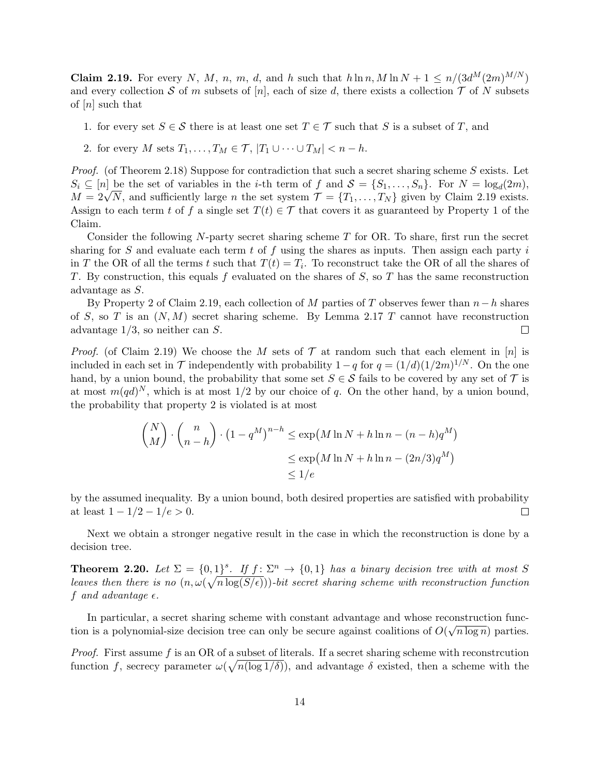Claim 2.19. For every N, M, n, m, d, and h such that  $h \ln n$ ,  $M \ln N + 1 \leq n/(3d^M(2m)^{M/N})$ and every collection S of m subsets of [n], each of size d, there exists a collection  $\mathcal T$  of N subsets of  $[n]$  such that

- 1. for every set  $S \in \mathcal{S}$  there is at least one set  $T \in \mathcal{T}$  such that S is a subset of T, and
- 2. for every M sets  $T_1, \ldots, T_M \in \mathcal{T}, |T_1 \cup \cdots \cup T_M| < n h$ .

Proof. (of Theorem 2.18) Suppose for contradiction that such a secret sharing scheme S exists. Let  $S_i \subseteq [n]$  be the set of variables in the *i*-th term of f and  $S = \{S_1, \ldots, S_n\}$ . For  $N = \log_d(2m)$ ,  $S_i \subseteq [n]$  be the set of variables in the *i*-th term of *J* and  $S = \{S_1, \ldots, S_n\}$ . For  $N = \log_d(2m)$ ,  $M = 2\sqrt{N}$ , and sufficiently large *n* the set system  $\mathcal{T} = \{T_1, \ldots, T_N\}$  given by Claim 2.19 exists. Assign to each term t of f a single set  $T(t) \in \mathcal{T}$  that covers it as guaranteed by Property 1 of the Claim.

Consider the following N-party secret sharing scheme  $T$  for OR. To share, first run the secret sharing for S and evaluate each term t of f using the shares as inputs. Then assign each party i in T the OR of all the terms t such that  $T(t) = T_i$ . To reconstruct take the OR of all the shares of T. By construction, this equals f evaluated on the shares of  $S$ , so  $T$  has the same reconstruction advantage as S.

By Property 2 of Claim 2.19, each collection of M parties of T observes fewer than  $n-h$  shares of S, so T is an  $(N, M)$  secret sharing scheme. By Lemma 2.17 T cannot have reconstruction advantage  $1/3$ , so neither can S.  $\Box$ 

*Proof.* (of Claim 2.19) We choose the M sets of  $\mathcal T$  at random such that each element in [n] is included in each set in  $\mathcal T$  independently with probability  $1-q$  for  $q=(1/d)(1/2m)^{1/N}$ . On the one hand, by a union bound, the probability that some set  $S \in \mathcal{S}$  fails to be covered by any set of  $\mathcal{T}$  is at most  $m(qd)^N$ , which is at most 1/2 by our choice of q. On the other hand, by a union bound, the probability that property 2 is violated is at most

$$
\begin{aligned} \begin{pmatrix} N \\ M \end{pmatrix} \cdot \begin{pmatrix} n \\ n - h \end{pmatrix} \cdot \left(1 - q^M\right)^{n - h} &\leq \exp\left(M \ln N + h \ln n - (n - h)q^M\right) \\ &\leq \exp\left(M \ln N + h \ln n - (2n/3)q^M\right) \\ &\leq 1/e \end{aligned}
$$

by the assumed inequality. By a union bound, both desired properties are satisfied with probability at least  $1 - 1/2 - 1/e > 0$ .  $\Box$ 

Next we obtain a stronger negative result in the case in which the reconstruction is done by a decision tree.

**Theorem 2.20.** Let  $\Sigma = \{0,1\}^s$ . If  $f: \Sigma^n \to \{0,1\}$  has a binary decision tree with at most S leaves then there is no  $(n, \omega(\sqrt{n \log(S/\epsilon)}))$ -bit secret sharing scheme with reconstruction function f and advantage  $\epsilon$ .

In particular, a secret sharing scheme with constant advantage and whose reconstruction function is a polynomial-size decision tree can only be secure against coalitions of  $O(\sqrt{n \log n})$  parties.

Proof. First assume f is an OR of a subset of literals. If a secret sharing scheme with reconstrcution function f, secrecy parameter  $\omega(\sqrt{n(\log 1/\delta)})$ , and advantage  $\delta$  existed, then a scheme with the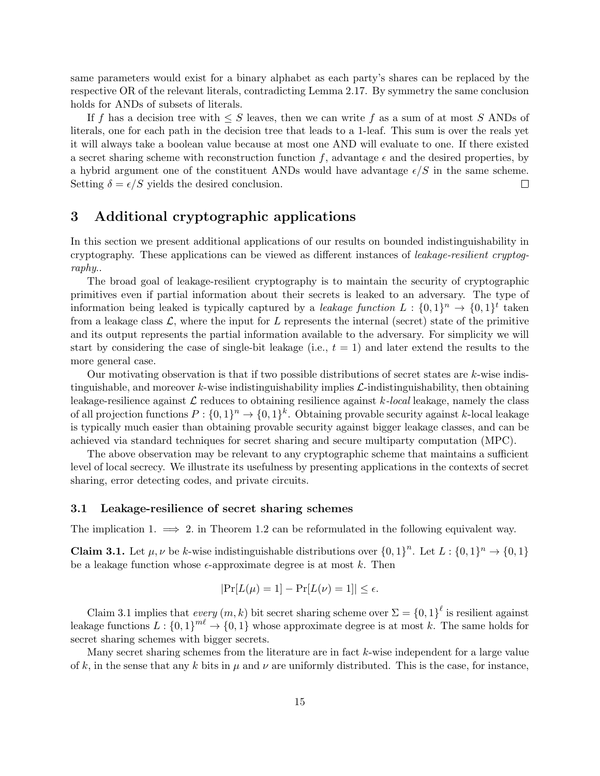same parameters would exist for a binary alphabet as each party's shares can be replaced by the respective OR of the relevant literals, contradicting Lemma 2.17. By symmetry the same conclusion holds for ANDs of subsets of literals.

If f has a decision tree with  $\leq S$  leaves, then we can write f as a sum of at most S ANDs of literals, one for each path in the decision tree that leads to a 1-leaf. This sum is over the reals yet it will always take a boolean value because at most one AND will evaluate to one. If there existed a secret sharing scheme with reconstruction function f, advantage  $\epsilon$  and the desired properties, by a hybrid argument one of the constituent ANDs would have advantage  $\epsilon/S$  in the same scheme. Setting  $\delta = \epsilon/S$  yields the desired conclusion.  $\Box$ 

## 3 Additional cryptographic applications

In this section we present additional applications of our results on bounded indistinguishability in cryptography. These applications can be viewed as different instances of leakage-resilient cryptography..

The broad goal of leakage-resilient cryptography is to maintain the security of cryptographic primitives even if partial information about their secrets is leaked to an adversary. The type of information being leaked is typically captured by a *leakage function*  $L: \{0,1\}^n \to \{0,1\}^t$  taken from a leakage class  $\mathcal{L}$ , where the input for  $L$  represents the internal (secret) state of the primitive and its output represents the partial information available to the adversary. For simplicity we will start by considering the case of single-bit leakage (i.e.,  $t = 1$ ) and later extend the results to the more general case.

Our motivating observation is that if two possible distributions of secret states are  $k$ -wise indistinguishable, and moreover  $k$ -wise indistinguishability implies  $\mathcal{L}$ -indistinguishability, then obtaining leakage-resilience against  $\mathcal L$  reduces to obtaining resilience against k-local leakage, namely the class of all projection functions  $P: \{0,1\}^n \to \{0,1\}^k$ . Obtaining provable security against k-local leakage is typically much easier than obtaining provable security against bigger leakage classes, and can be achieved via standard techniques for secret sharing and secure multiparty computation (MPC).

The above observation may be relevant to any cryptographic scheme that maintains a sufficient level of local secrecy. We illustrate its usefulness by presenting applications in the contexts of secret sharing, error detecting codes, and private circuits.

#### 3.1 Leakage-resilience of secret sharing schemes

The implication 1.  $\implies$  2. in Theorem 1.2 can be reformulated in the following equivalent way.

**Claim 3.1.** Let  $\mu, \nu$  be k-wise indistinguishable distributions over  $\{0, 1\}^n$ . Let  $L : \{0, 1\}^n \to \{0, 1\}$ be a leakage function whose  $\epsilon$ -approximate degree is at most k. Then

$$
|\Pr[L(\mu) = 1] - \Pr[L(\nu) = 1]| \le \epsilon.
$$

Claim 3.1 implies that every  $(m, k)$  bit secret sharing scheme over  $\Sigma = \{0, 1\}^{\ell}$  is resilient against leakage functions  $L: \{0,1\}^{m\ell} \to \{0,1\}$  whose approximate degree is at most k. The same holds for secret sharing schemes with bigger secrets.

Many secret sharing schemes from the literature are in fact k-wise independent for a large value of k, in the sense that any k bits in  $\mu$  and  $\nu$  are uniformly distributed. This is the case, for instance,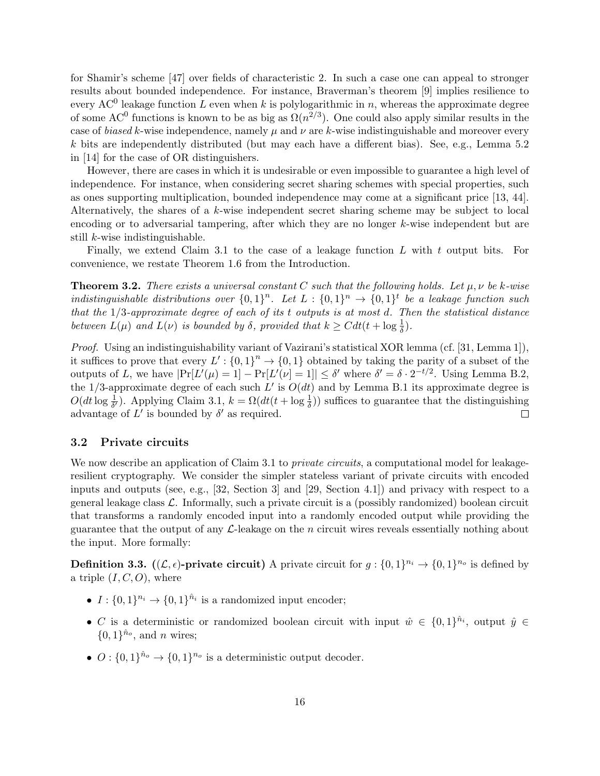for Shamir's scheme [47] over fields of characteristic 2. In such a case one can appeal to stronger results about bounded independence. For instance, Braverman's theorem [9] implies resilience to every AC<sup>0</sup> leakage function L even when k is polylogarithmic in n, whereas the approximate degree of some AC<sup>0</sup> functions is known to be as big as  $\Omega(n^{2/3})$ . One could also apply similar results in the case of biased k-wise independence, namely  $\mu$  and  $\nu$  are k-wise indistinguishable and moreover every  $k$  bits are independently distributed (but may each have a different bias). See, e.g., Lemma 5.2 in [14] for the case of OR distinguishers.

However, there are cases in which it is undesirable or even impossible to guarantee a high level of independence. For instance, when considering secret sharing schemes with special properties, such as ones supporting multiplication, bounded independence may come at a significant price [13, 44]. Alternatively, the shares of a k-wise independent secret sharing scheme may be subject to local encoding or to adversarial tampering, after which they are no longer k-wise independent but are still k-wise indistinguishable.

Finally, we extend Claim 3.1 to the case of a leakage function  $L$  with  $t$  output bits. For convenience, we restate Theorem 1.6 from the Introduction.

**Theorem 3.2.** There exists a universal constant C such that the following holds. Let  $\mu, \nu$  be k-wise indistinguishable distributions over  $\{0,1\}^n$ . Let  $L:\{0,1\}^n \to \{0,1\}^t$  be a leakage function such that the  $1/3$ -approximate degree of each of its t outputs is at most d. Then the statistical distance between  $L(\mu)$  and  $L(\nu)$  is bounded by  $\delta$ , provided that  $k \geq C dt (t + \log \frac{1}{\delta})$ .

Proof. Using an indistinguishability variant of Vazirani's statistical XOR lemma (cf. [31, Lemma 1]), it suffices to prove that every  $L' : \{0,1\}^n \to \{0,1\}$  obtained by taking the parity of a subset of the outputs of L, we have  $|\Pr[L'(\mu) = 1] - \Pr[L'(\nu) = 1]| \leq \delta'$  where  $\delta' = \delta \cdot 2^{-t/2}$ . Using Lemma B.2, the 1/3-approximate degree of each such L' is  $O(dt)$  and by Lemma B.1 its approximate degree is  $O(dt \log \frac{1}{\delta})$ . Applying Claim 3.1,  $k = \Omega(dt(t + \log \frac{1}{\delta}))$  suffices to guarantee that the distinguishing advantage of  $L'$  is bounded by  $\delta'$  as required.  $\Box$ 

#### 3.2 Private circuits

We now describe an application of Claim 3.1 to *private circuits*, a computational model for leakageresilient cryptography. We consider the simpler stateless variant of private circuits with encoded inputs and outputs (see, e.g., [32, Section 3] and [29, Section 4.1]) and privacy with respect to a general leakage class  $\mathcal{L}$ . Informally, such a private circuit is a (possibly randomized) boolean circuit that transforms a randomly encoded input into a randomly encoded output while providing the guarantee that the output of any  $\mathcal{L}\text{-leakage}$  on the n circuit wires reveals essentially nothing about the input. More formally:

**Definition 3.3.**  $((\mathcal{L}, \epsilon)$ -**private circuit**) A private circuit for  $g: \{0, 1\}^{n_i} \to \{0, 1\}^{n_o}$  is defined by a triple  $(I, C, O)$ , where

- $I: \{0,1\}^{n_i} \rightarrow \{0,1\}^{\hat{n}_i}$  is a randomized input encoder;
- C is a deterministic or randomized boolean circuit with input  $\hat{w} \in \{0,1\}^{\hat{n}_i}$ , output  $\hat{y} \in$  $\{0,1\}^{\hat{n}_o}$ , and *n* wires;
- $O: \{0,1\}^{\hat{n}_o} \to \{0,1\}^{\hat{n}_o}$  is a deterministic output decoder.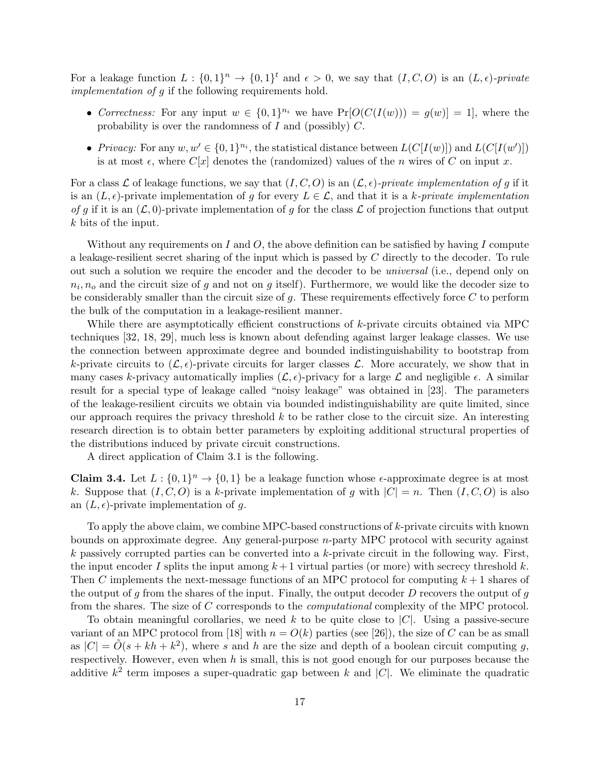For a leakage function  $L: \{0,1\}^n \to \{0,1\}^t$  and  $\epsilon > 0$ , we say that  $(I, C, O)$  is an  $(L, \epsilon)$ -private implementation of g if the following requirements hold.

- Correctness: For any input  $w \in \{0,1\}^{n_i}$  we have  $Pr[O(C(I(w))) = g(w)] = 1$ , where the probability is over the randomness of  $I$  and (possibly)  $C$ .
- Privacy: For any  $w, w' \in \{0, 1\}^{n_i}$ , the statistical distance between  $L(C[I(w)])$  and  $L(C[I(w')])$ is at most  $\epsilon$ , where  $C[x]$  denotes the (randomized) values of the *n* wires of C on input x.

For a class L of leakage functions, we say that  $(I, C, O)$  is an  $(\mathcal{L}, \epsilon)$ -private implementation of g if it is an  $(L, \epsilon)$ -private implementation of g for every  $L \in \mathcal{L}$ , and that it is a k-private implementation of g if it is an  $(\mathcal{L}, 0)$ -private implementation of g for the class  $\mathcal L$  of projection functions that output k bits of the input.

Without any requirements on I and O, the above definition can be satisfied by having I compute a leakage-resilient secret sharing of the input which is passed by C directly to the decoder. To rule out such a solution we require the encoder and the decoder to be universal (i.e., depend only on  $n_i$ ,  $n_o$  and the circuit size of g and not on g itself). Furthermore, we would like the decoder size to be considerably smaller than the circuit size of  $g$ . These requirements effectively force  $C$  to perform the bulk of the computation in a leakage-resilient manner.

While there are asymptotically efficient constructions of  $k$ -private circuits obtained via MPC techniques [32, 18, 29], much less is known about defending against larger leakage classes. We use the connection between approximate degree and bounded indistinguishability to bootstrap from k-private circuits to  $(\mathcal{L}, \epsilon)$ -private circuits for larger classes  $\mathcal{L}$ . More accurately, we show that in many cases k-privacy automatically implies  $(\mathcal{L}, \epsilon)$ -privacy for a large  $\mathcal L$  and negligible  $\epsilon$ . A similar result for a special type of leakage called "noisy leakage" was obtained in [23]. The parameters of the leakage-resilient circuits we obtain via bounded indistinguishability are quite limited, since our approach requires the privacy threshold  $k$  to be rather close to the circuit size. An interesting research direction is to obtain better parameters by exploiting additional structural properties of the distributions induced by private circuit constructions.

A direct application of Claim 3.1 is the following.

**Claim 3.4.** Let  $L : \{0,1\}^n \to \{0,1\}$  be a leakage function whose  $\epsilon$ -approximate degree is at most k. Suppose that  $(I, C, O)$  is a k-private implementation of g with  $|C| = n$ . Then  $(I, C, O)$  is also an  $(L, \epsilon)$ -private implementation of g.

To apply the above claim, we combine MPC-based constructions of k-private circuits with known bounds on approximate degree. Any general-purpose n-party MPC protocol with security against k passively corrupted parties can be converted into a k-private circuit in the following way. First, the input encoder I splits the input among  $k+1$  virtual parties (or more) with secrecy threshold k. Then C implements the next-message functions of an MPC protocol for computing  $k+1$  shares of the output of g from the shares of the input. Finally, the output decoder  $D$  recovers the output of  $g$ from the shares. The size of C corresponds to the computational complexity of the MPC protocol.

To obtain meaningful corollaries, we need k to be quite close to  $|C|$ . Using a passive-secure variant of an MPC protocol from [18] with  $n = O(k)$  parties (see [26]), the size of C can be as small as  $|C| = \tilde{O}(s + kh + k^2)$ , where s and h are the size and depth of a boolean circuit computing g, respectively. However, even when  $h$  is small, this is not good enough for our purposes because the additive  $k^2$  term imposes a super-quadratic gap between k and |C|. We eliminate the quadratic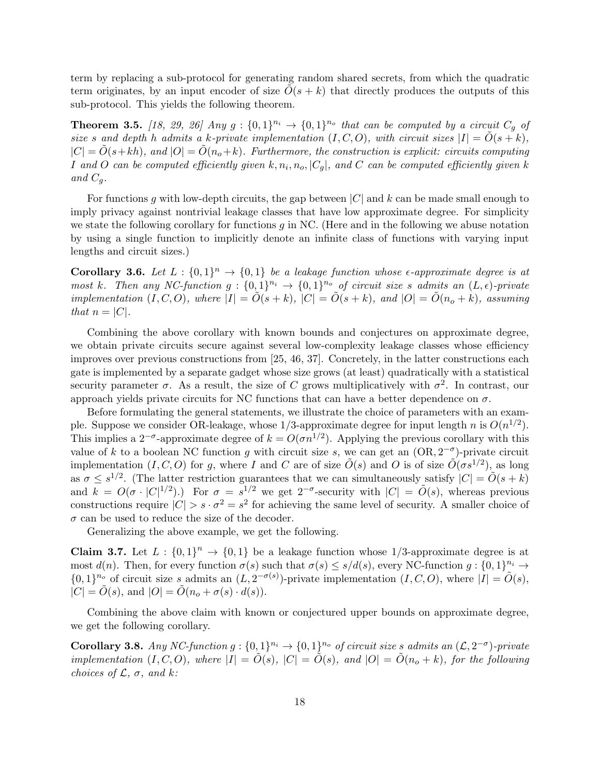term by replacing a sub-protocol for generating random shared secrets, from which the quadratic term originates, by an input encoder of size  $O(s + k)$  that directly produces the outputs of this sub-protocol. This yields the following theorem.

**Theorem 3.5.** [18, 29, 26] Any  $g: \{0,1\}^{n_i} \rightarrow \{0,1\}^{n_o}$  that can be computed by a circuit  $C_g$  of size s and depth h admits a k-private implementation  $(I, C, O)$ , with circuit sizes  $|I| = \tilde{O}(s + k)$ ,  $|C| = \tilde{O}(s+kh)$ , and  $|O| = \tilde{O}(n_0+k)$ . Furthermore, the construction is explicit: circuits computing I and O can be computed efficiently given  $k, n_i, n_o, |C_g|$ , and C can be computed efficiently given k and  $C_q$ .

For functions g with low-depth circuits, the gap between  $|C|$  and k can be made small enough to imply privacy against nontrivial leakage classes that have low approximate degree. For simplicity we state the following corollary for functions  $g$  in NC. (Here and in the following we abuse notation by using a single function to implicitly denote an infinite class of functions with varying input lengths and circuit sizes.)

**Corollary 3.6.** Let  $L : \{0,1\}^n \to \{0,1\}$  be a leakage function whose  $\epsilon$ -approximate degree is at most k. Then any NC-function  $g: \{0,1\}^{n_i} \to \{0,1\}^{n_o}$  of circuit size s admits an  $(L, \epsilon)$ -private implementation  $(I, C, O)$ , where  $|I| = \tilde{O}(s + k)$ ,  $|C| = \tilde{O}(s + k)$ , and  $|O| = \tilde{O}(n_o + k)$ , assuming that  $n = |C|$ .

Combining the above corollary with known bounds and conjectures on approximate degree, we obtain private circuits secure against several low-complexity leakage classes whose efficiency improves over previous constructions from [25, 46, 37]. Concretely, in the latter constructions each gate is implemented by a separate gadget whose size grows (at least) quadratically with a statistical security parameter  $\sigma$ . As a result, the size of C grows multiplicatively with  $\sigma^2$ . In contrast, our approach yields private circuits for NC functions that can have a better dependence on  $\sigma$ .

Before formulating the general statements, we illustrate the choice of parameters with an example. Suppose we consider OR-leakage, whose 1/3-approximate degree for input length n is  $O(n^{1/2})$ . This implies a 2<sup>- $\sigma$ </sup>-approximate degree of  $k = O(\sigma n^{1/2})$ . Applying the previous corollary with this value of k to a boolean NC function g with circuit size s, we can get an  $(OR, 2^{-\sigma})$ -private circuit implementation  $(I, C, O)$  for g, where I and C are of size  $\tilde{O}(s)$  and O is of size  $\tilde{O}(\sigma s^{1/2})$ , as long as  $\sigma \leq s^{1/2}$ . (The latter restriction guarantees that we can simultaneously satisfy  $|C| = \tilde{O}(s+k)$ and  $k = O(\sigma \cdot |C|^{1/2})$ .) For  $\sigma = s^{1/2}$  we get  $2^{-\sigma}$ -security with  $|C| = O(s)$ , whereas previous constructions require  $|C| > s \cdot \sigma^2 = s^2$  for achieving the same level of security. A smaller choice of  $\sigma$  can be used to reduce the size of the decoder.

Generalizing the above example, we get the following.

**Claim 3.7.** Let  $L : \{0,1\}^n \to \{0,1\}$  be a leakage function whose 1/3-approximate degree is at most  $d(n)$ . Then, for every function  $\sigma(s)$  such that  $\sigma(s) \leq s/d(s)$ , every NC-function  $g: \{0,1\}^{n_i} \to$  $\{0,1\}^{n_o}$  of circuit size s admits an  $(L, 2^{-\sigma(s)})$ -private implementation  $(I, C, O)$ , where  $|I| = \tilde{O}(s)$ ,  $|C| = \tilde{O}(s)$ , and  $|O| = \tilde{O}(n_o + \sigma(s) \cdot d(s))$ .

Combining the above claim with known or conjectured upper bounds on approximate degree, we get the following corollary.

**Corollary 3.8.** Any NC-function  $g: \{0,1\}^{n_i} \to \{0,1\}^{n_o}$  of circuit size s admits an  $(\mathcal{L}, 2^{-\sigma})$ -private implementation  $(I, C, O)$ , where  $|I| = \tilde{O}(s)$ ,  $|C| = \tilde{O}(s)$ , and  $|O| = \tilde{O}(n_o + k)$ , for the following choices of  $\mathcal{L}, \sigma$ , and k: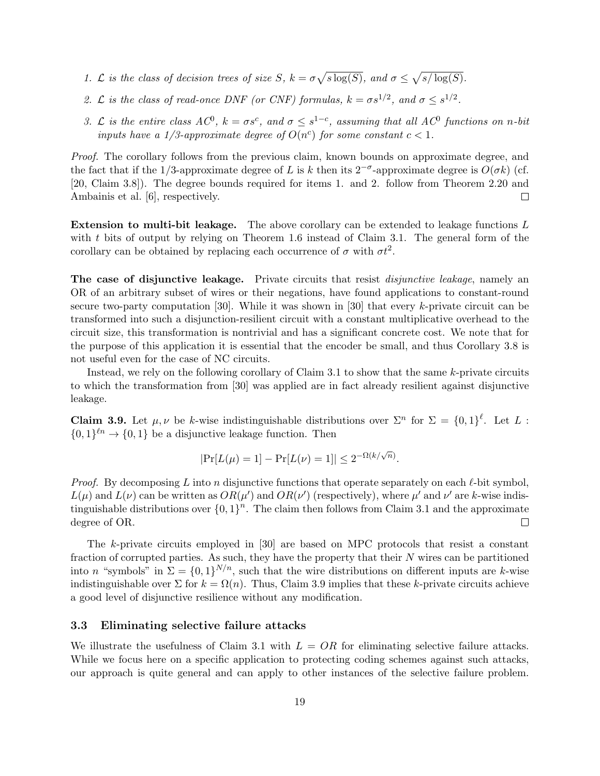- 1. L is the class of decision trees of size S,  $k = \sigma \sqrt{s \log(S)}$ , and  $\sigma \leq \sqrt{s/\log(S)}$ .
- 2. L is the class of read-once DNF (or CNF) formulas,  $k = \sigma s^{1/2}$ , and  $\sigma \leq s^{1/2}$ .
- 3. L is the entire class  $AC^0$ ,  $k = \sigma s^c$ , and  $\sigma \leq s^{1-c}$ , assuming that all  $AC^0$  functions on n-bit inputs have a 1/3-approximate degree of  $O(n^c)$  for some constant  $c < 1$ .

Proof. The corollary follows from the previous claim, known bounds on approximate degree, and the fact that if the 1/3-approximate degree of L is k then its 2<sup>- $\sigma$ </sup>-approximate degree is  $O(\sigma k)$  (cf. [20, Claim 3.8]). The degree bounds required for items 1. and 2. follow from Theorem 2.20 and Ambainis et al. [6], respectively.  $\Box$ 

Extension to multi-bit leakage. The above corollary can be extended to leakage functions L with  $t$  bits of output by relying on Theorem 1.6 instead of Claim 3.1. The general form of the corollary can be obtained by replacing each occurrence of  $\sigma$  with  $\sigma t^2$ .

The case of disjunctive leakage. Private circuits that resist *disjunctive leakage*, namely an OR of an arbitrary subset of wires or their negations, have found applications to constant-round secure two-party computation [30]. While it was shown in [30] that every  $k$ -private circuit can be transformed into such a disjunction-resilient circuit with a constant multiplicative overhead to the circuit size, this transformation is nontrivial and has a significant concrete cost. We note that for the purpose of this application it is essential that the encoder be small, and thus Corollary 3.8 is not useful even for the case of NC circuits.

Instead, we rely on the following corollary of Claim 3.1 to show that the same  $k$ -private circuits to which the transformation from [30] was applied are in fact already resilient against disjunctive leakage.

**Claim 3.9.** Let  $\mu, \nu$  be k-wise indistinguishable distributions over  $\Sigma^n$  for  $\Sigma = \{0,1\}^{\ell}$ . Let L:  ${0,1}^{\ell n} \rightarrow {0,1}$  be a disjunctive leakage function. Then

$$
|\Pr[L(\mu) = 1] - \Pr[L(\nu) = 1]| \leq 2^{-\Omega(k/\sqrt{n})}.
$$

*Proof.* By decomposing L into n disjunctive functions that operate separately on each  $\ell$ -bit symbol,  $L(\mu)$  and  $L(\nu)$  can be written as  $OR(\mu')$  and  $OR(\nu')$  (respectively), where  $\mu'$  and  $\nu'$  are k-wise indistinguishable distributions over  ${0,1}^n$ . The claim then follows from Claim 3.1 and the approximate degree of OR.  $\Box$ 

The k-private circuits employed in [30] are based on MPC protocols that resist a constant fraction of corrupted parties. As such, they have the property that their  $N$  wires can be partitioned into n "symbols" in  $\Sigma = \{0,1\}^{N/n}$ , such that the wire distributions on different inputs are k-wise indistinguishable over  $\Sigma$  for  $k = \Omega(n)$ . Thus, Claim 3.9 implies that these k-private circuits achieve a good level of disjunctive resilience without any modification.

#### 3.3 Eliminating selective failure attacks

We illustrate the usefulness of Claim 3.1 with  $L = OR$  for eliminating selective failure attacks. While we focus here on a specific application to protecting coding schemes against such attacks, our approach is quite general and can apply to other instances of the selective failure problem.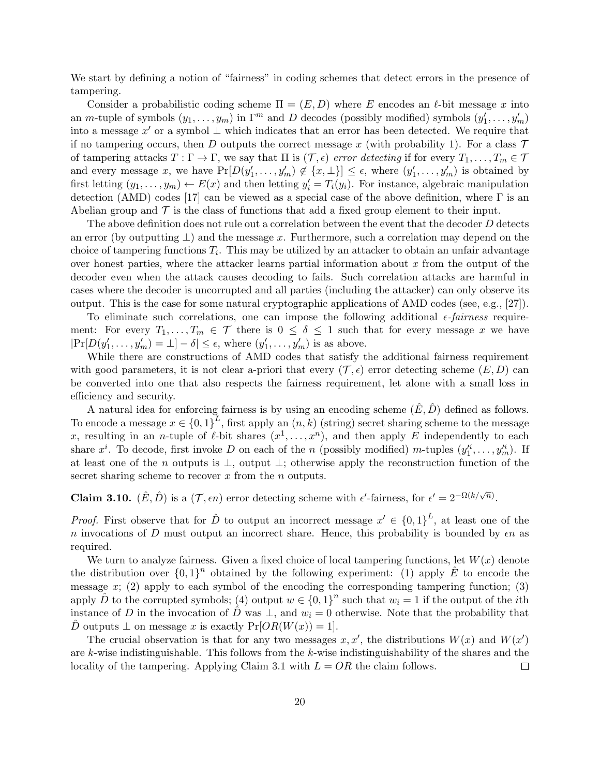We start by defining a notion of "fairness" in coding schemes that detect errors in the presence of tampering.

Consider a probabilistic coding scheme  $\Pi = (E, D)$  where E encodes an  $\ell$ -bit message x into an m-tuple of symbols  $(y_1, \ldots, y_m)$  in  $\Gamma^m$  and D decodes (possibly modified) symbols  $(y'_1, \ldots, y'_m)$ into a message  $x'$  or a symbol  $\perp$  which indicates that an error has been detected. We require that if no tampering occurs, then D outputs the correct message x (with probability 1). For a class  $\mathcal T$ of tampering attacks  $T : \Gamma \to \Gamma$ , we say that  $\Pi$  is  $(\mathcal{T}, \epsilon)$  error detecting if for every  $T_1, \ldots, T_m \in \mathcal{T}$ and every message x, we have  $Pr[D(y'_1, \ldots, y'_m) \notin \{x, \perp\}] \leq \epsilon$ , where  $(y'_1, \ldots, y'_m)$  is obtained by first letting  $(y_1, \ldots, y_m) \leftarrow E(x)$  and then letting  $y'_i = T_i(y_i)$ . For instance, algebraic manipulation detection (AMD) codes [17] can be viewed as a special case of the above definition, where  $\Gamma$  is an Abelian group and  $\mathcal T$  is the class of functions that add a fixed group element to their input.

The above definition does not rule out a correlation between the event that the decoder D detects an error (by outputting  $\perp$ ) and the message x. Furthermore, such a correlation may depend on the choice of tampering functions  $T_i$ . This may be utilized by an attacker to obtain an unfair advantage over honest parties, where the attacker learns partial information about  $x$  from the output of the decoder even when the attack causes decoding to fails. Such correlation attacks are harmful in cases where the decoder is uncorrupted and all parties (including the attacker) can only observe its output. This is the case for some natural cryptographic applications of AMD codes (see, e.g., [27]).

To eliminate such correlations, one can impose the following additional  $\epsilon$ -fairness requirement: For every  $T_1, \ldots, T_m \in \mathcal{T}$  there is  $0 \leq \delta \leq 1$  such that for every message x we have  $|\Pr[D(y_1', \ldots, y_m') = \bot] - \delta| \le \epsilon$ , where  $(y_1', \ldots, y_m')$  is as above.

While there are constructions of AMD codes that satisfy the additional fairness requirement with good parameters, it is not clear a-priori that every  $(\mathcal{T}, \epsilon)$  error detecting scheme  $(E, D)$  can be converted into one that also respects the fairness requirement, let alone with a small loss in efficiency and security.

A natural idea for enforcing fairness is by using an encoding scheme  $(\hat{E}, \hat{D})$  defined as follows. To encode a message  $x \in \{0,1\}^L$ , first apply an  $(n, k)$  (string) secret sharing scheme to the message x, resulting in an *n*-tuple of  $\ell$ -bit shares  $(x^1, \ldots, x^n)$ , and then apply E independently to each share  $x^i$ . To decode, first invoke D on each of the n (possibly modified) m-tuples  $(y_1^{i_1},...,y_m^{i_n})$ . If at least one of the n outputs is ⊥, output ⊥; otherwise apply the reconstruction function of the secret sharing scheme to recover  $x$  from the  $n$  outputs.

**Claim 3.10.**  $(\hat{E}, \hat{D})$  is a  $(\mathcal{T}, \epsilon n)$  error detecting scheme with  $\epsilon'$ -fairness, for  $\epsilon' = 2^{-\Omega(k/\sqrt{n})}$ .

*Proof.* First observe that for  $\hat{D}$  to output an incorrect message  $x' \in \{0,1\}^L$ , at least one of the n invocations of D must output an incorrect share. Hence, this probability is bounded by  $\epsilon n$  as required.

We turn to analyze fairness. Given a fixed choice of local tampering functions, let  $W(x)$  denote the distribution over  ${0,1}^n$  obtained by the following experiment: (1) apply  $\hat{E}$  to encode the message  $x$ ; (2) apply to each symbol of the encoding the corresponding tampering function; (3) apply  $\hat{D}$  to the corrupted symbols; (4) output  $w \in \{0,1\}^n$  such that  $w_i = 1$  if the output of the *i*th instance of D in the invocation of  $\hat{D}$  was  $\perp$ , and  $w_i = 0$  otherwise. Note that the probability that D outputs  $\perp$  on message x is exactly  $Pr[OR(W(x)) = 1]$ .

The crucial observation is that for any two messages  $x, x'$ , the distributions  $W(x)$  and  $W(x')$ are k-wise indistinguishable. This follows from the  $k$ -wise indistinguishability of the shares and the locality of the tampering. Applying Claim 3.1 with  $L = OR$  the claim follows.  $\Box$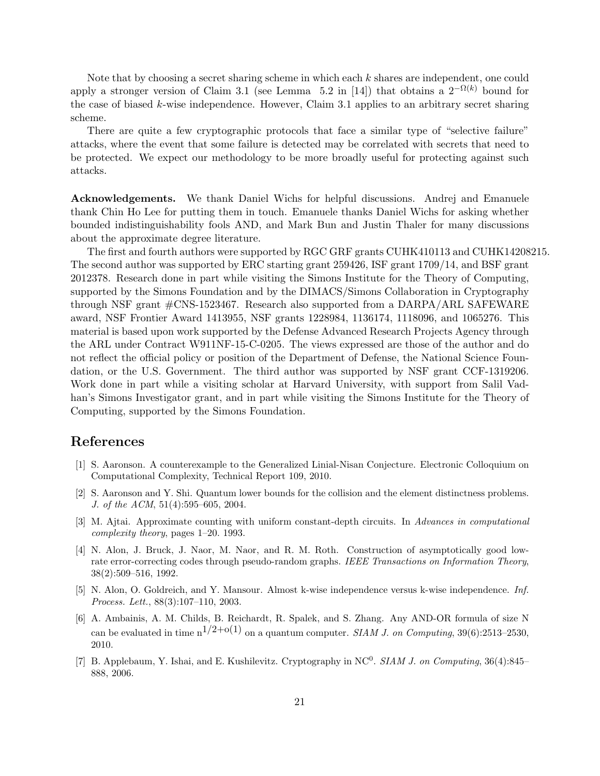Note that by choosing a secret sharing scheme in which each k shares are independent, one could apply a stronger version of Claim 3.1 (see Lemma 5.2 in [14]) that obtains a  $2^{-\Omega(k)}$  bound for the case of biased k-wise independence. However, Claim 3.1 applies to an arbitrary secret sharing scheme.

There are quite a few cryptographic protocols that face a similar type of "selective failure" attacks, where the event that some failure is detected may be correlated with secrets that need to be protected. We expect our methodology to be more broadly useful for protecting against such attacks.

Acknowledgements. We thank Daniel Wichs for helpful discussions. Andrej and Emanuele thank Chin Ho Lee for putting them in touch. Emanuele thanks Daniel Wichs for asking whether bounded indistinguishability fools AND, and Mark Bun and Justin Thaler for many discussions about the approximate degree literature.

The first and fourth authors were supported by RGC GRF grants CUHK410113 and CUHK14208215. The second author was supported by ERC starting grant 259426, ISF grant 1709/14, and BSF grant 2012378. Research done in part while visiting the Simons Institute for the Theory of Computing, supported by the Simons Foundation and by the DIMACS/Simons Collaboration in Cryptography through NSF grant #CNS-1523467. Research also supported from a DARPA/ARL SAFEWARE award, NSF Frontier Award 1413955, NSF grants 1228984, 1136174, 1118096, and 1065276. This material is based upon work supported by the Defense Advanced Research Projects Agency through the ARL under Contract W911NF-15-C-0205. The views expressed are those of the author and do not reflect the official policy or position of the Department of Defense, the National Science Foundation, or the U.S. Government. The third author was supported by NSF grant CCF-1319206. Work done in part while a visiting scholar at Harvard University, with support from Salil Vadhan's Simons Investigator grant, and in part while visiting the Simons Institute for the Theory of Computing, supported by the Simons Foundation.

## References

- [1] S. Aaronson. A counterexample to the Generalized Linial-Nisan Conjecture. Electronic Colloquium on Computational Complexity, Technical Report 109, 2010.
- [2] S. Aaronson and Y. Shi. Quantum lower bounds for the collision and the element distinctness problems. J. of the ACM, 51(4):595–605, 2004.
- [3] M. Ajtai. Approximate counting with uniform constant-depth circuits. In Advances in computational complexity theory, pages 1–20. 1993.
- [4] N. Alon, J. Bruck, J. Naor, M. Naor, and R. M. Roth. Construction of asymptotically good lowrate error-correcting codes through pseudo-random graphs. IEEE Transactions on Information Theory, 38(2):509–516, 1992.
- [5] N. Alon, O. Goldreich, and Y. Mansour. Almost k-wise independence versus k-wise independence. Inf. Process. Lett., 88(3):107–110, 2003.
- [6] A. Ambainis, A. M. Childs, B. Reichardt, R. Spalek, and S. Zhang. Any AND-OR formula of size N can be evaluated in time  $n^{1/2+o(1)}$  on a quantum computer. SIAM J. on Computing, 39(6):2513–2530, 2010.
- [7] B. Applebaum, Y. Ishai, and E. Kushilevitz. Cryptography in NC<sup>0</sup>. SIAM J. on Computing, 36(4):845– 888, 2006.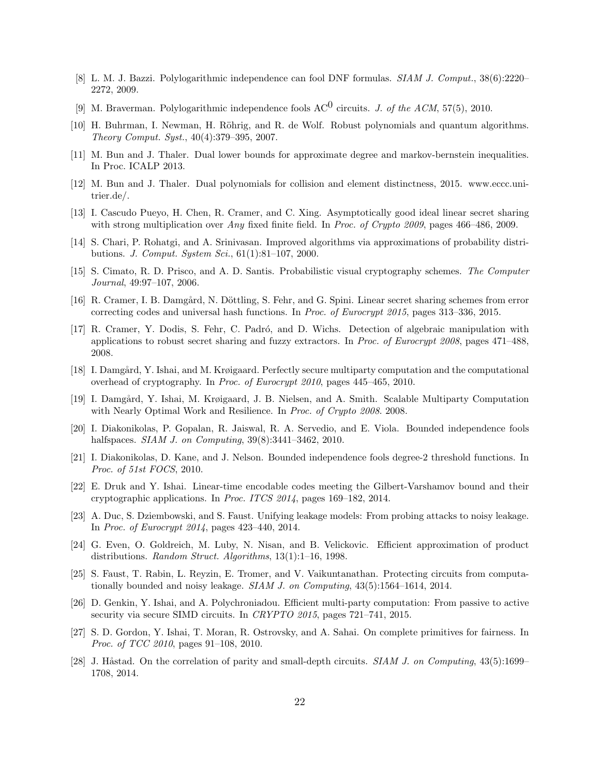- [8] L. M. J. Bazzi. Polylogarithmic independence can fool DNF formulas. SIAM J. Comput., 38(6):2220– 2272, 2009.
- [9] M. Braverman. Polylogarithmic independence fools  $AC^0$  circuits. *J. of the ACM*, 57(5), 2010.
- [10] H. Buhrman, I. Newman, H. Röhrig, and R. de Wolf. Robust polynomials and quantum algorithms. Theory Comput. Syst., 40(4):379–395, 2007.
- [11] M. Bun and J. Thaler. Dual lower bounds for approximate degree and markov-bernstein inequalities. In Proc. ICALP 2013.
- [12] M. Bun and J. Thaler. Dual polynomials for collision and element distinctness, 2015. www.eccc.unitrier.de/.
- [13] I. Cascudo Pueyo, H. Chen, R. Cramer, and C. Xing. Asymptotically good ideal linear secret sharing with strong multiplication over Any fixed finite field. In Proc. of Crypto 2009, pages 466–486, 2009.
- [14] S. Chari, P. Rohatgi, and A. Srinivasan. Improved algorithms via approximations of probability distributions. J. Comput. System Sci., 61(1):81–107, 2000.
- [15] S. Cimato, R. D. Prisco, and A. D. Santis. Probabilistic visual cryptography schemes. The Computer Journal, 49:97–107, 2006.
- [16] R. Cramer, I. B. Damgård, N. Döttling, S. Fehr, and G. Spini. Linear secret sharing schemes from error correcting codes and universal hash functions. In Proc. of Eurocrypt 2015, pages 313–336, 2015.
- [17] R. Cramer, Y. Dodis, S. Fehr, C. Padr´o, and D. Wichs. Detection of algebraic manipulation with applications to robust secret sharing and fuzzy extractors. In Proc. of Eurocrypt 2008, pages 471–488, 2008.
- [18] I. Damgård, Y. Ishai, and M. Krøigaard. Perfectly secure multiparty computation and the computational overhead of cryptography. In Proc. of Eurocrypt 2010, pages 445–465, 2010.
- [19] I. Damgård, Y. Ishai, M. Krøigaard, J. B. Nielsen, and A. Smith. Scalable Multiparty Computation with Nearly Optimal Work and Resilience. In Proc. of Crypto 2008. 2008.
- [20] I. Diakonikolas, P. Gopalan, R. Jaiswal, R. A. Servedio, and E. Viola. Bounded independence fools halfspaces. *SIAM J. on Computing*, 39(8):3441-3462, 2010.
- [21] I. Diakonikolas, D. Kane, and J. Nelson. Bounded independence fools degree-2 threshold functions. In Proc. of 51st FOCS, 2010.
- [22] E. Druk and Y. Ishai. Linear-time encodable codes meeting the Gilbert-Varshamov bound and their cryptographic applications. In Proc. ITCS 2014, pages 169–182, 2014.
- [23] A. Duc, S. Dziembowski, and S. Faust. Unifying leakage models: From probing attacks to noisy leakage. In Proc. of Eurocrypt 2014, pages 423–440, 2014.
- [24] G. Even, O. Goldreich, M. Luby, N. Nisan, and B. Velickovic. Efficient approximation of product distributions. Random Struct. Algorithms, 13(1):1–16, 1998.
- [25] S. Faust, T. Rabin, L. Reyzin, E. Tromer, and V. Vaikuntanathan. Protecting circuits from computationally bounded and noisy leakage. SIAM J. on Computing, 43(5):1564–1614, 2014.
- [26] D. Genkin, Y. Ishai, and A. Polychroniadou. Efficient multi-party computation: From passive to active security via secure SIMD circuits. In CRYPTO 2015, pages 721–741, 2015.
- [27] S. D. Gordon, Y. Ishai, T. Moran, R. Ostrovsky, and A. Sahai. On complete primitives for fairness. In Proc. of TCC 2010, pages 91–108, 2010.
- [28] J. Håstad. On the correlation of parity and small-depth circuits.  $SIAM J.$  on Computing, 43(5):1699– 1708, 2014.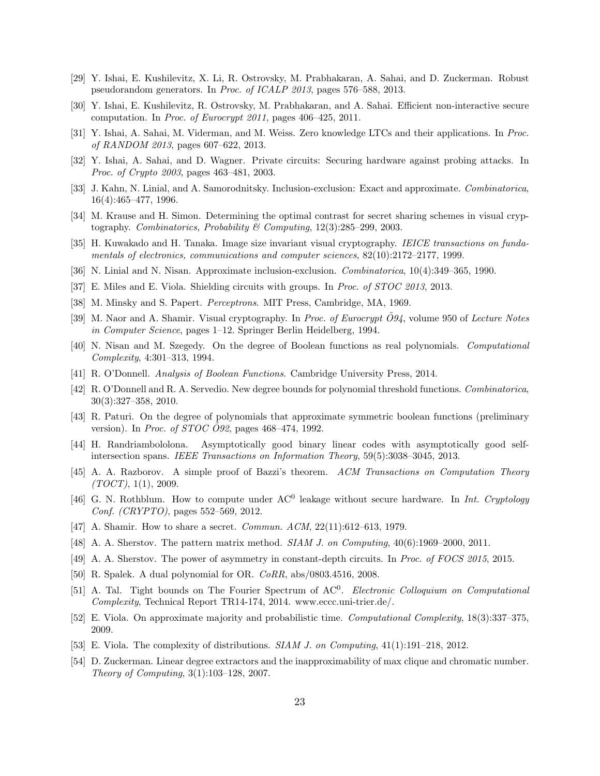- [29] Y. Ishai, E. Kushilevitz, X. Li, R. Ostrovsky, M. Prabhakaran, A. Sahai, and D. Zuckerman. Robust pseudorandom generators. In Proc. of ICALP 2013, pages 576–588, 2013.
- [30] Y. Ishai, E. Kushilevitz, R. Ostrovsky, M. Prabhakaran, and A. Sahai. Efficient non-interactive secure computation. In Proc. of Eurocrypt 2011, pages 406–425, 2011.
- [31] Y. Ishai, A. Sahai, M. Viderman, and M. Weiss. Zero knowledge LTCs and their applications. In Proc. of RANDOM 2013, pages 607–622, 2013.
- [32] Y. Ishai, A. Sahai, and D. Wagner. Private circuits: Securing hardware against probing attacks. In Proc. of Crypto 2003, pages 463–481, 2003.
- [33] J. Kahn, N. Linial, and A. Samorodnitsky. Inclusion-exclusion: Exact and approximate. Combinatorica, 16(4):465–477, 1996.
- [34] M. Krause and H. Simon. Determining the optimal contrast for secret sharing schemes in visual cryptography. Combinatorics, Probability & Computing, 12(3):285–299, 2003.
- [35] H. Kuwakado and H. Tanaka. Image size invariant visual cryptography. IEICE transactions on fundamentals of electronics, communications and computer sciences, 82(10):2172–2177, 1999.
- [36] N. Linial and N. Nisan. Approximate inclusion-exclusion. Combinatorica, 10(4):349–365, 1990.
- [37] E. Miles and E. Viola. Shielding circuits with groups. In Proc. of STOC 2013, 2013.
- [38] M. Minsky and S. Papert. Perceptrons. MIT Press, Cambridge, MA, 1969.
- [39] M. Naor and A. Shamir. Visual cryptography. In Proc. of Eurocrypt  $\ddot{\mathcal{O}}94$ , volume 950 of Lecture Notes in Computer Science, pages 1–12. Springer Berlin Heidelberg, 1994.
- [40] N. Nisan and M. Szegedy. On the degree of Boolean functions as real polynomials. Computational Complexity, 4:301–313, 1994.
- [41] R. O'Donnell. Analysis of Boolean Functions. Cambridge University Press, 2014.
- [42] R. O'Donnell and R. A. Servedio. New degree bounds for polynomial threshold functions. Combinatorica, 30(3):327–358, 2010.
- [43] R. Paturi. On the degree of polynomials that approximate symmetric boolean functions (preliminary version). In *Proc. of STOC 092*, pages  $468-474$ , 1992.
- [44] H. Randriambololona. Asymptotically good binary linear codes with asymptotically good selfintersection spans. IEEE Transactions on Information Theory, 59(5):3038–3045, 2013.
- [45] A. A. Razborov. A simple proof of Bazzi's theorem. ACM Transactions on Computation Theory  $(TOCT), 1(1), 2009.$
- [46] G. N. Rothblum. How to compute under  $AC^0$  leakage without secure hardware. In *Int. Cryptology* Conf. (CRYPTO), pages 552–569, 2012.
- [47] A. Shamir. How to share a secret. *Commun. ACM*, 22(11):612–613, 1979.
- [48] A. A. Sherstov. The pattern matrix method. *SIAM J. on Computing*, 40(6):1969–2000, 2011.
- [49] A. A. Sherstov. The power of asymmetry in constant-depth circuits. In Proc. of FOCS 2015, 2015.
- [50] R. Spalek. A dual polynomial for OR. CoRR, abs/0803.4516, 2008.
- [51] A. Tal. Tight bounds on The Fourier Spectrum of AC<sup>0</sup>. Electronic Colloquium on Computational Complexity, Technical Report TR14-174, 2014. www.eccc.uni-trier.de/.
- [52] E. Viola. On approximate majority and probabilistic time. Computational Complexity, 18(3):337–375, 2009.
- [53] E. Viola. The complexity of distributions. SIAM J. on Computing, 41(1):191–218, 2012.
- [54] D. Zuckerman. Linear degree extractors and the inapproximability of max clique and chromatic number. Theory of Computing, 3(1):103–128, 2007.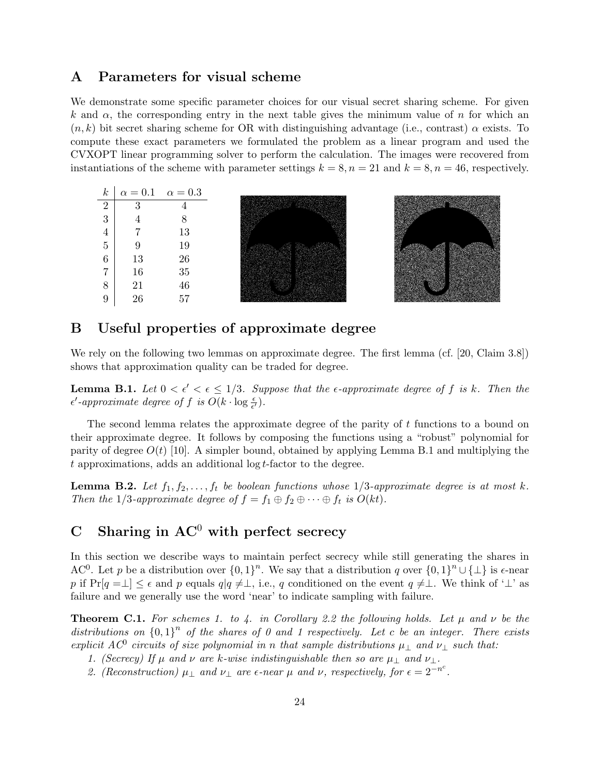## A Parameters for visual scheme

We demonstrate some specific parameter choices for our visual secret sharing scheme. For given k and  $\alpha$ , the corresponding entry in the next table gives the minimum value of n for which an  $(n, k)$  bit secret sharing scheme for OR with distinguishing advantage (i.e., contrast)  $\alpha$  exists. To compute these exact parameters we formulated the problem as a linear program and used the CVXOPT linear programming solver to perform the calculation. The images were recovered from instantiations of the scheme with parameter settings  $k = 8$ ,  $n = 21$  and  $k = 8$ ,  $n = 46$ , respectively.



## B Useful properties of approximate degree

We rely on the following two lemmas on approximate degree. The first lemma (cf. [20, Claim 3.8]) shows that approximation quality can be traded for degree.

**Lemma B.1.** Let  $0 < \epsilon' < \epsilon \leq 1/3$ . Suppose that the  $\epsilon$ -approximate degree of f is k. Then the  $\epsilon'$ -approximate degree of f is  $O(k \cdot \log \frac{\epsilon}{\epsilon'})$ .

The second lemma relates the approximate degree of the parity of t functions to a bound on their approximate degree. It follows by composing the functions using a "robust" polynomial for parity of degree  $O(t)$  [10]. A simpler bound, obtained by applying Lemma B.1 and multiplying the t approximations, adds an additional log t-factor to the degree.

**Lemma B.2.** Let  $f_1, f_2, \ldots, f_t$  be boolean functions whose  $1/3$ -approximate degree is at most k. Then the 1/3-approximate degree of  $f = f_1 \oplus f_2 \oplus \cdots \oplus f_t$  is  $O(kt)$ .

# C Sharing in  $AC^0$  with perfect secrecy

In this section we describe ways to maintain perfect secrecy while still generating the shares in AC<sup>0</sup>. Let p be a distribution over  ${0,1}^n$ . We say that a distribution q over  ${0,1}^n \cup {\perp}$  is  $\epsilon$ -near p if  $Pr[q = \perp] \leq \epsilon$  and p equals  $q|q \neq \perp$ , i.e., q conditioned on the event  $q \neq \perp$ . We think of ' $\perp$ ' as failure and we generally use the word 'near' to indicate sampling with failure.

**Theorem C.1.** For schemes 1. to 4. in Corollary 2.2 the following holds. Let  $\mu$  and  $\nu$  be the distributions on  ${0,1}^n$  of the shares of 0 and 1 respectively. Let c be an integer. There exists explicit AC<sup>0</sup> circuits of size polynomial in n that sample distributions  $\mu_{\perp}$  and  $\nu_{\perp}$  such that:

- 1. (Secrecy) If  $\mu$  and  $\nu$  are k-wise indistinguishable then so are  $\mu_{\perp}$  and  $\nu_{\perp}$ .
- 2. (Reconstruction)  $\mu_{\perp}$  and  $\nu_{\perp}$  are  $\epsilon$ -near  $\mu$  and  $\nu$ , respectively, for  $\epsilon = 2^{-n^c}$ .